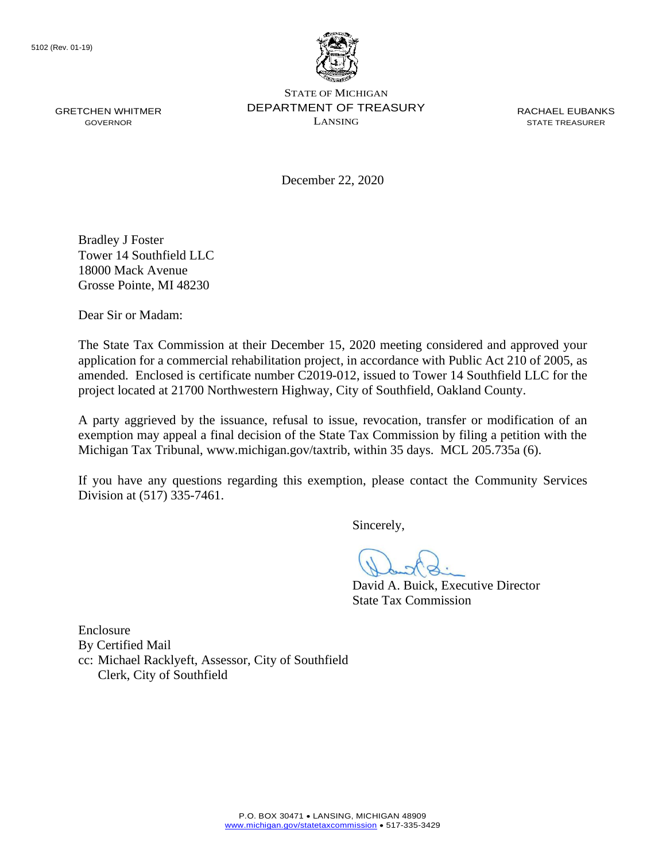

December 22, 2020

Bradley J Foster Tower 14 Southfield LLC 18000 Mack Avenue Grosse Pointe, MI 48230

Dear Sir or Madam:

The State Tax Commission at their December 15, 2020 meeting considered and approved your application for a commercial rehabilitation project, in accordance with Public Act 210 of 2005, as amended. Enclosed is certificate number C2019-012, issued to Tower 14 Southfield LLC for the project located at 21700 Northwestern Highway, City of Southfield, Oakland County.

A party aggrieved by the issuance, refusal to issue, revocation, transfer or modification of an exemption may appeal a final decision of the State Tax Commission by filing a petition with the Michigan Tax Tribunal, <www.michigan.gov/taxtrib>, within 35 days. MCL 205.735a (6).

If you have any questions regarding this exemption, please contact the Community Services Division at (517) 335-7461.

Sincerely,

David A. Buick, Executive Director State Tax Commission

Enclosure By Certified Mail cc: Michael Racklyeft, Assessor, City of Southfield Clerk, City of Southfield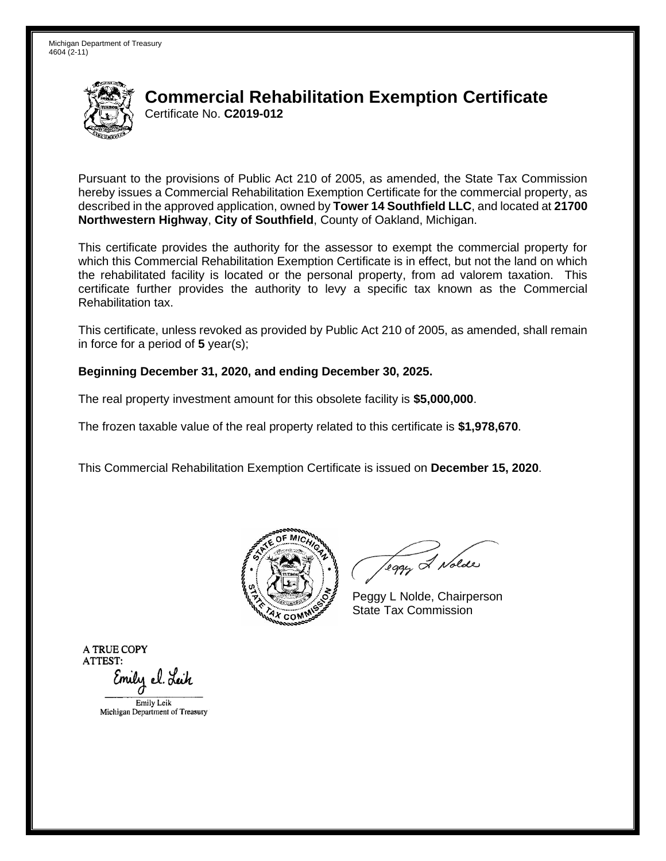Michigan Department of Treasury 4604 (2-11)



## **Commercial Rehabilitation Exemption Certificate**  Certificate No. **C2019-012**

Pursuant to the provisions of Public Act 210 of 2005, as amended, the State Tax Commission hereby issues a Commercial Rehabilitation Exemption Certificate for the commercial property, as described in the approved application, owned by **Tower 14 Southfield LLC**, and located at **21700 Northwestern Highway**, **City of Southfield**, County of Oakland, Michigan.

This certificate provides the authority for the assessor to exempt the commercial property for which this Commercial Rehabilitation Exemption Certificate is in effect, but not the land on which the rehabilitated facility is located or the personal property, from ad valorem taxation. This certificate further provides the authority to levy a specific tax known as the Commercial Rehabilitation tax.

This certificate, unless revoked as provided by Public Act 210 of 2005, as amended, shall remain in force for a period of **5** year(s);

#### **Beginning December 31, 2020, and ending December 30, 2025.**

The real property investment amount for this obsolete facility is **\$5,000,000**.

The frozen taxable value of the real property related to this certificate is **\$1,978,670**.

This Commercial Rehabilitation Exemption Certificate is issued on **December 15, 2020**.



leggy & Nolde

Peggy L Nolde, Chairperson State Tax Commission

**ATRUECOPY ATTEST:**  Emily el. Leik Emily Leik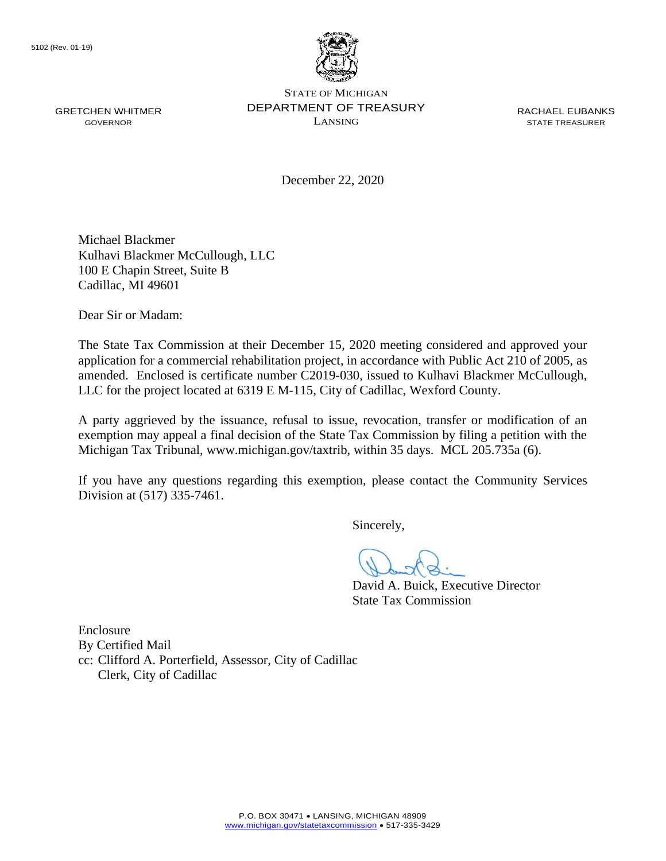

December 22, 2020

Michael Blackmer Kulhavi Blackmer McCullough, LLC 100 E Chapin Street, Suite B Cadillac, MI 49601

Dear Sir or Madam:

The State Tax Commission at their December 15, 2020 meeting considered and approved your application for a commercial rehabilitation project, in accordance with Public Act 210 of 2005, as amended. Enclosed is certificate number C2019-030, issued to Kulhavi Blackmer McCullough, LLC for the project located at 6319 E M-115, City of Cadillac, Wexford County.

A party aggrieved by the issuance, refusal to issue, revocation, transfer or modification of an exemption may appeal a final decision of the State Tax Commission by filing a petition with the Michigan Tax Tribunal, <www.michigan.gov/taxtrib>, within 35 days. MCL 205.735a (6).

If you have any questions regarding this exemption, please contact the Community Services Division at (517) 335-7461.

Sincerely,

David A. Buick, Executive Director State Tax Commission

Enclosure By Certified Mail cc: Clifford A. Porterfield, Assessor, City of Cadillac Clerk, City of Cadillac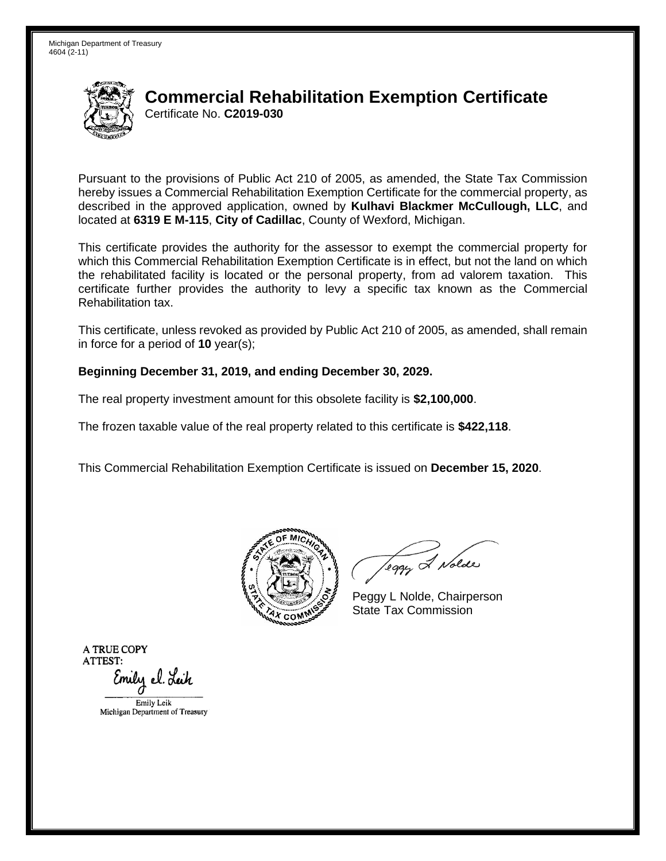

Pursuant to the provisions of Public Act 210 of 2005, as amended, the State Tax Commission hereby issues a Commercial Rehabilitation Exemption Certificate for the commercial property, as described in the approved application, owned by **Kulhavi Blackmer McCullough, LLC**, and located at **6319 E M-115**, **City of Cadillac**, County of Wexford, Michigan.

This certificate provides the authority for the assessor to exempt the commercial property for which this Commercial Rehabilitation Exemption Certificate is in effect, but not the land on which the rehabilitated facility is located or the personal property, from ad valorem taxation. This certificate further provides the authority to levy a specific tax known as the Commercial Rehabilitation tax.

This certificate, unless revoked as provided by Public Act 210 of 2005, as amended, shall remain in force for a period of **10** year(s);

#### **Beginning December 31, 2019, and ending December 30, 2029.**

The real property investment amount for this obsolete facility is **\$2,100,000**.

The frozen taxable value of the real property related to this certificate is **\$422,118**.

This Commercial Rehabilitation Exemption Certificate is issued on **December 15, 2020**.



leggy & Nolde

Peggy L Nolde, Chairperson State Tax Commission

**ATRUECOPY ATTEST:**  Emily el. Leik Emily Leik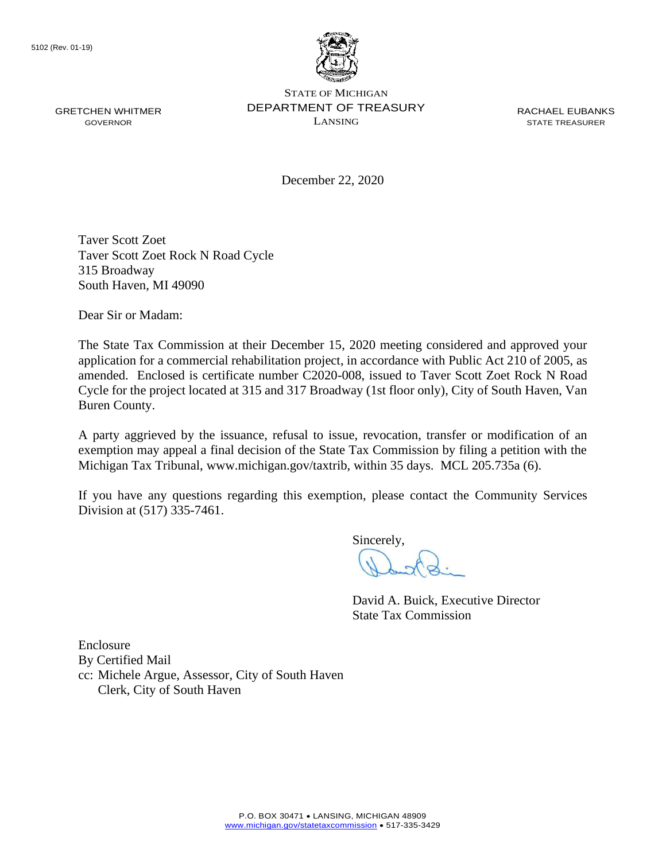

STATE OF MICHIGAN GRETCHEN WHITMER DEPARTMENT OF TREASURY RACHAEL EUBANKS  $\sum_{i=1}^{n}$  GOVERNOR

December 22, 2020

Taver Scott Zoet Taver Scott Zoet Rock N Road Cycle 315 Broadway South Haven, MI 49090

Dear Sir or Madam:

The State Tax Commission at their December 15, 2020 meeting considered and approved your application for a commercial rehabilitation project, in accordance with Public Act 210 of 2005, as amended. Enclosed is certificate number C2020-008, issued to Taver Scott Zoet Rock N Road Cycle for the project located at 315 and 317 Broadway (1st floor only), City of South Haven, Van Buren County.

A party aggrieved by the issuance, refusal to issue, revocation, transfer or modification of an exemption may appeal a final decision of the State Tax Commission by filing a petition with the Michigan Tax Tribunal, <www.michigan.gov/taxtrib>, within 35 days. MCL 205.735a (6).

If you have any questions regarding this exemption, please contact the Community Services Division at (517) 335-7461.

Sincerely,

David A. Buick, Executive Director State Tax Commission

Enclosure By Certified Mail cc: Michele Argue, Assessor, City of South Haven Clerk, City of South Haven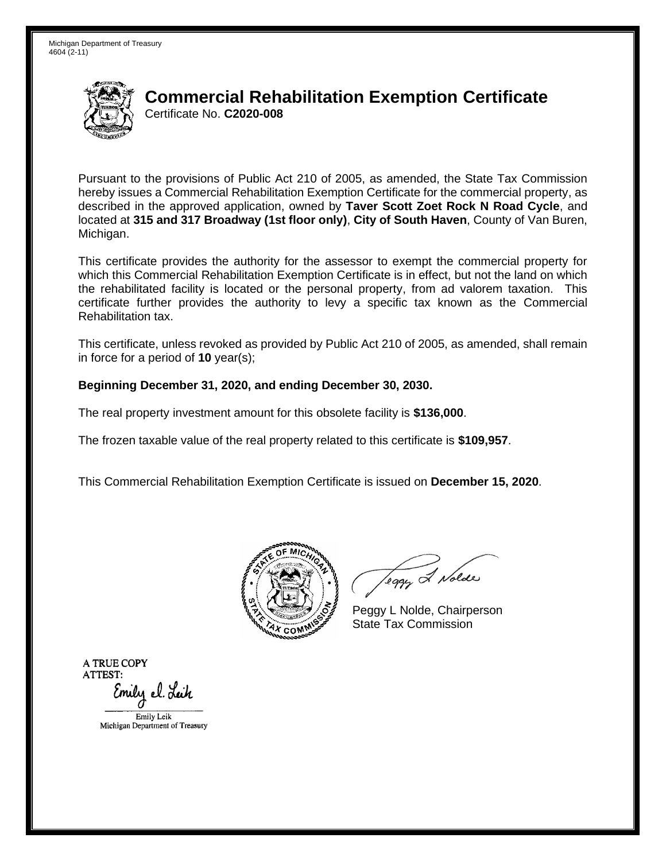

Pursuant to the provisions of Public Act 210 of 2005, as amended, the State Tax Commission hereby issues a Commercial Rehabilitation Exemption Certificate for the commercial property, as described in the approved application, owned by **Taver Scott Zoet Rock N Road Cycle**, and located at **315 and 317 Broadway (1st floor only)**, **City of South Haven**, County of Van Buren, Michigan.

This certificate provides the authority for the assessor to exempt the commercial property for which this Commercial Rehabilitation Exemption Certificate is in effect, but not the land on which the rehabilitated facility is located or the personal property, from ad valorem taxation. This certificate further provides the authority to levy a specific tax known as the Commercial Rehabilitation tax.

This certificate, unless revoked as provided by Public Act 210 of 2005, as amended, shall remain in force for a period of **10** year(s);

### **Beginning December 31, 2020, and ending December 30, 2030.**

The real property investment amount for this obsolete facility is **\$136,000**.

The frozen taxable value of the real property related to this certificate is **\$109,957**.

This Commercial Rehabilitation Exemption Certificate is issued on **December 15, 2020**.



Teggy & Nolde

Peggy L Nolde, Chairperson State Tax Commission

**ATRUECOPY ATTEST:**  Emily el. Lei*h* 

EmilyLcik Michigan Department of Treasucy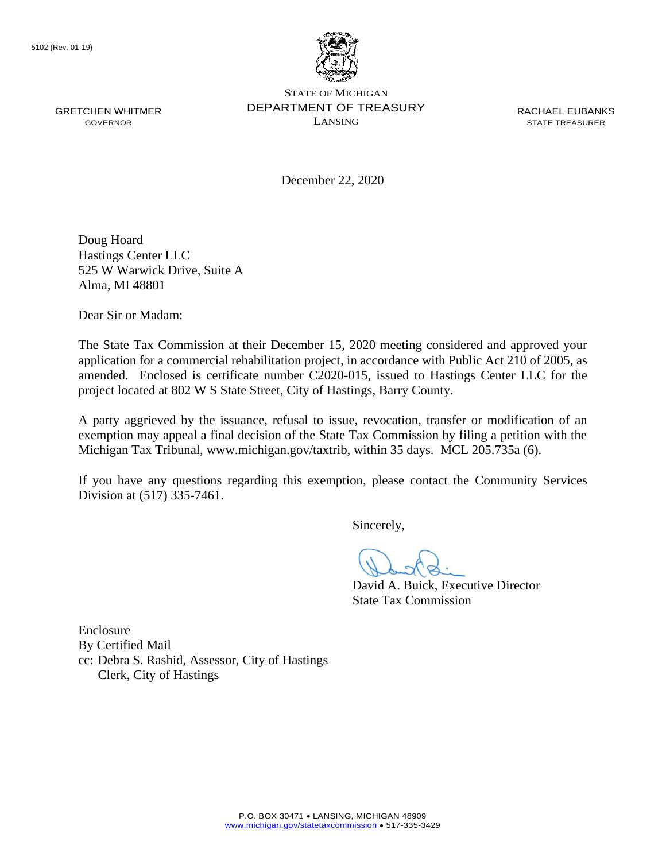

December 22, 2020

Doug Hoard Hastings Center LLC 525 W Warwick Drive, Suite A Alma, MI 48801

Dear Sir or Madam:

The State Tax Commission at their December 15, 2020 meeting considered and approved your application for a commercial rehabilitation project, in accordance with Public Act 210 of 2005, as amended. Enclosed is certificate number C2020-015, issued to Hastings Center LLC for the project located at 802 W S State Street, City of Hastings, Barry County.

A party aggrieved by the issuance, refusal to issue, revocation, transfer or modification of an exemption may appeal a final decision of the State Tax Commission by filing a petition with the Michigan Tax Tribunal, <www.michigan.gov/taxtrib>, within 35 days. MCL 205.735a (6).

If you have any questions regarding this exemption, please contact the Community Services Division at (517) 335-7461.

Sincerely,

David A. Buick, Executive Director State Tax Commission

Enclosure By Certified Mail cc: Debra S. Rashid, Assessor, City of Hastings Clerk, City of Hastings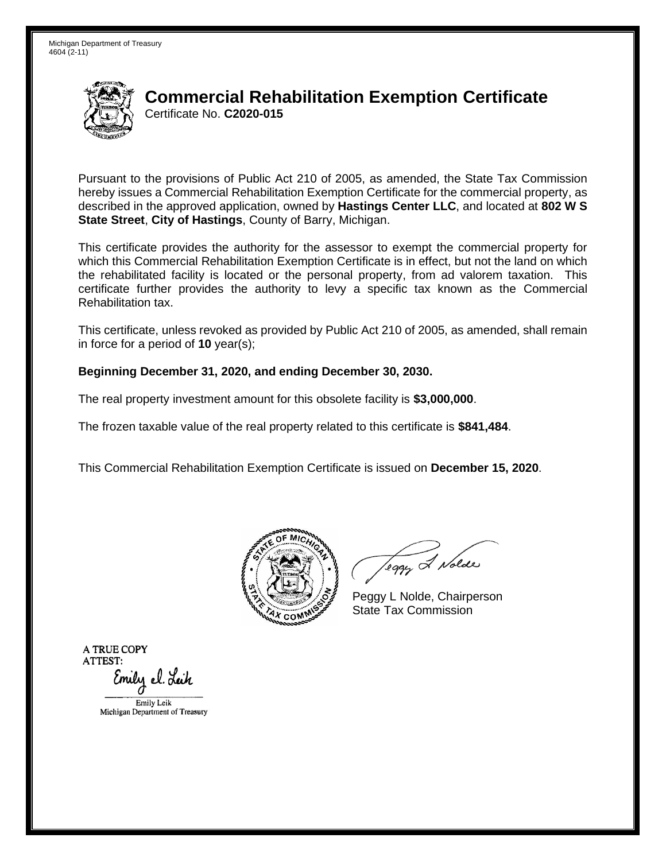

Pursuant to the provisions of Public Act 210 of 2005, as amended, the State Tax Commission hereby issues a Commercial Rehabilitation Exemption Certificate for the commercial property, as described in the approved application, owned by **Hastings Center LLC**, and located at **802 W S State Street**, **City of Hastings**, County of Barry, Michigan.

This certificate provides the authority for the assessor to exempt the commercial property for which this Commercial Rehabilitation Exemption Certificate is in effect, but not the land on which the rehabilitated facility is located or the personal property, from ad valorem taxation. This certificate further provides the authority to levy a specific tax known as the Commercial Rehabilitation tax.

This certificate, unless revoked as provided by Public Act 210 of 2005, as amended, shall remain in force for a period of **10** year(s);

#### **Beginning December 31, 2020, and ending December 30, 2030.**

The real property investment amount for this obsolete facility is **\$3,000,000**.

The frozen taxable value of the real property related to this certificate is **\$841,484**.

This Commercial Rehabilitation Exemption Certificate is issued on **December 15, 2020**.



leggy & Nolde

Peggy L Nolde, Chairperson State Tax Commission

**ATRUECOPY ATTEST:**  Emily el. Leik Emily Leik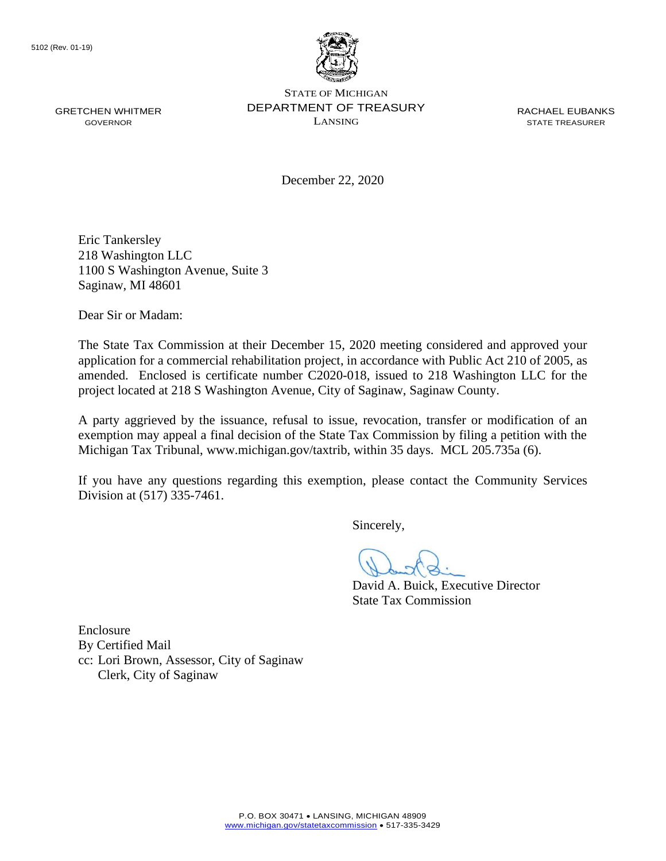

December 22, 2020

Eric Tankersley 218 Washington LLC 1100 S Washington Avenue, Suite 3 Saginaw, MI 48601

Dear Sir or Madam:

The State Tax Commission at their December 15, 2020 meeting considered and approved your application for a commercial rehabilitation project, in accordance with Public Act 210 of 2005, as amended. Enclosed is certificate number C2020-018, issued to 218 Washington LLC for the project located at 218 S Washington Avenue, City of Saginaw, Saginaw County.

A party aggrieved by the issuance, refusal to issue, revocation, transfer or modification of an exemption may appeal a final decision of the State Tax Commission by filing a petition with the Michigan Tax Tribunal, <www.michigan.gov/taxtrib>, within 35 days. MCL 205.735a (6).

If you have any questions regarding this exemption, please contact the Community Services Division at (517) 335-7461.

Sincerely,

David A. Buick, Executive Director State Tax Commission

Enclosure By Certified Mail cc: Lori Brown, Assessor, City of Saginaw Clerk, City of Saginaw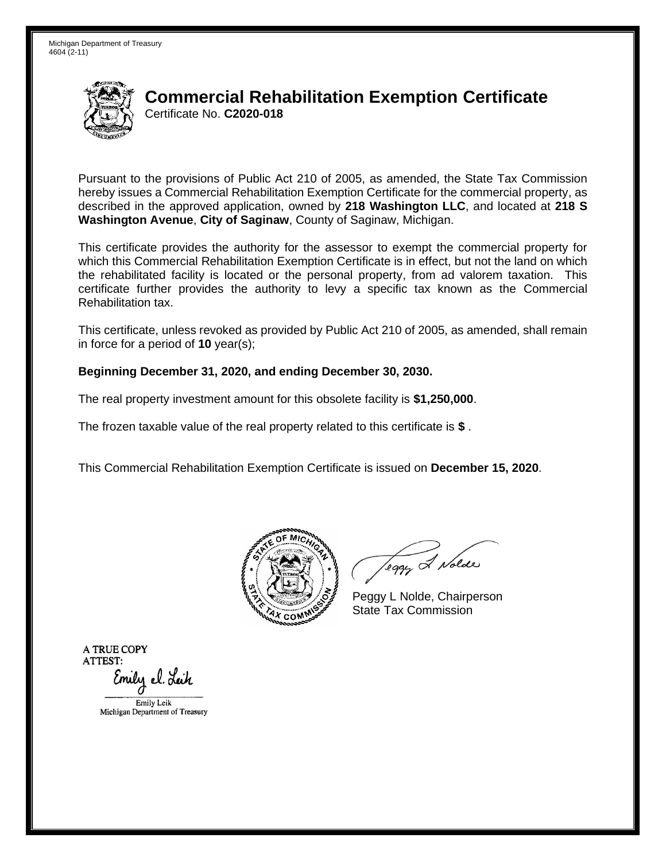

Pursuant to the provisions of Public Act 210 of 2005, as amended, the State Tax Commission hereby issues a Commercial Rehabilitation Exemption Certificate for the commercial property, as described in the approved application, owned by **218 Washington LLC**, and located at **218 S Washington Avenue**, **City of Saginaw**, County of Saginaw, Michigan.

This certificate provides the authority for the assessor to exempt the commercial property for which this Commercial Rehabilitation Exemption Certificate is in effect, but not the land on which the rehabilitated facility is located or the personal property, from ad valorem taxation. This certificate further provides the authority to levy a specific tax known as the Commercial Rehabilitation tax.

This certificate, unless revoked as provided by Public Act 210 of 2005, as amended, shall remain in force for a period of **10** year(s);

#### **Beginning December 31, 2020, and ending December 30, 2030.**

The real property investment amount for this obsolete facility is **\$1,250,000**.

The frozen taxable value of the real property related to this certificate is **\$** .

This Commercial Rehabilitation Exemption Certificate is issued on **December 15, 2020**.



leggy & Nolde

Peggy L Nolde, Chairperson State Tax Commission

**ATRUECOPY ATTEST:**  Emily el. Leik Emily Leik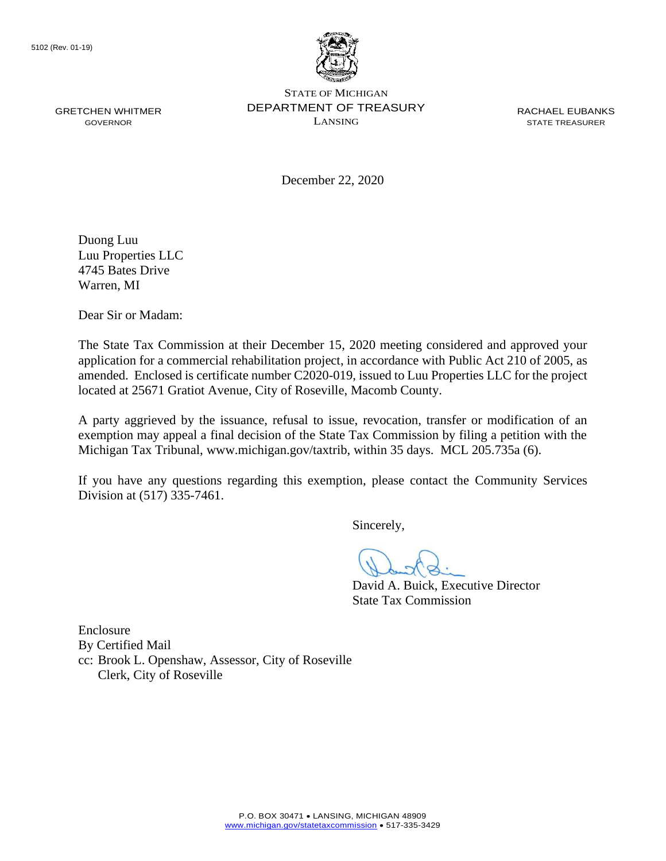

December 22, 2020

Duong Luu Luu Properties LLC 4745 Bates Drive Warren, MI

Dear Sir or Madam:

The State Tax Commission at their December 15, 2020 meeting considered and approved your application for a commercial rehabilitation project, in accordance with Public Act 210 of 2005, as amended. Enclosed is certificate number C2020-019, issued to Luu Properties LLC for the project located at 25671 Gratiot Avenue, City of Roseville, Macomb County.

A party aggrieved by the issuance, refusal to issue, revocation, transfer or modification of an exemption may appeal a final decision of the State Tax Commission by filing a petition with the Michigan Tax Tribunal, <www.michigan.gov/taxtrib>, within 35 days. MCL 205.735a (6).

If you have any questions regarding this exemption, please contact the Community Services Division at (517) 335-7461.

Sincerely,

David A. Buick, Executive Director State Tax Commission

Enclosure By Certified Mail cc: Brook L. Openshaw, Assessor, City of Roseville Clerk, City of Roseville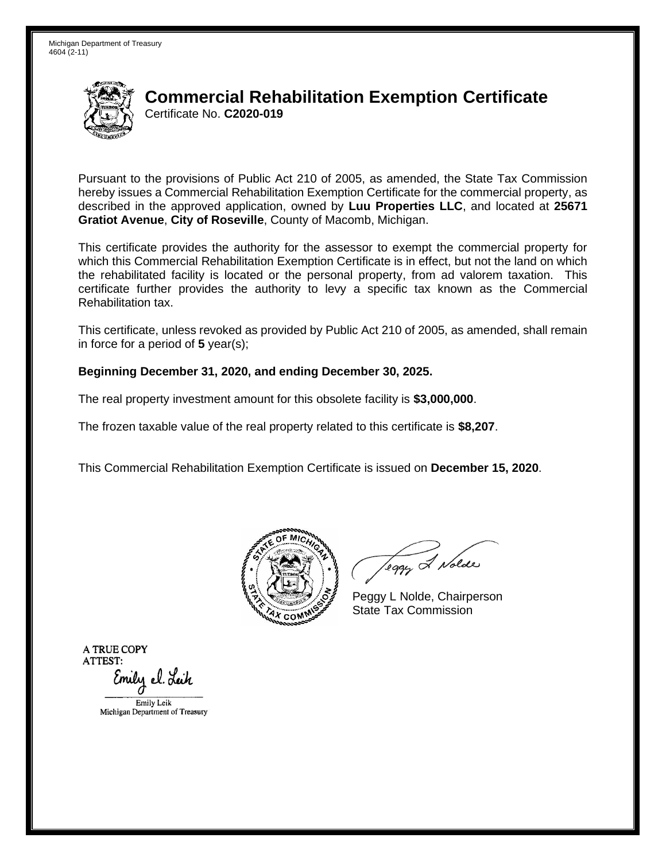

Pursuant to the provisions of Public Act 210 of 2005, as amended, the State Tax Commission hereby issues a Commercial Rehabilitation Exemption Certificate for the commercial property, as described in the approved application, owned by **Luu Properties LLC**, and located at **25671 Gratiot Avenue**, **City of Roseville**, County of Macomb, Michigan.

This certificate provides the authority for the assessor to exempt the commercial property for which this Commercial Rehabilitation Exemption Certificate is in effect, but not the land on which the rehabilitated facility is located or the personal property, from ad valorem taxation. This certificate further provides the authority to levy a specific tax known as the Commercial Rehabilitation tax.

This certificate, unless revoked as provided by Public Act 210 of 2005, as amended, shall remain in force for a period of **5** year(s);

#### **Beginning December 31, 2020, and ending December 30, 2025.**

The real property investment amount for this obsolete facility is **\$3,000,000**.

The frozen taxable value of the real property related to this certificate is **\$8,207**.

This Commercial Rehabilitation Exemption Certificate is issued on **December 15, 2020**.



leggy & Nolde

Peggy L Nolde, Chairperson State Tax Commission

**ATRUECOPY ATTEST:**  Emily el. Leik Emily Leik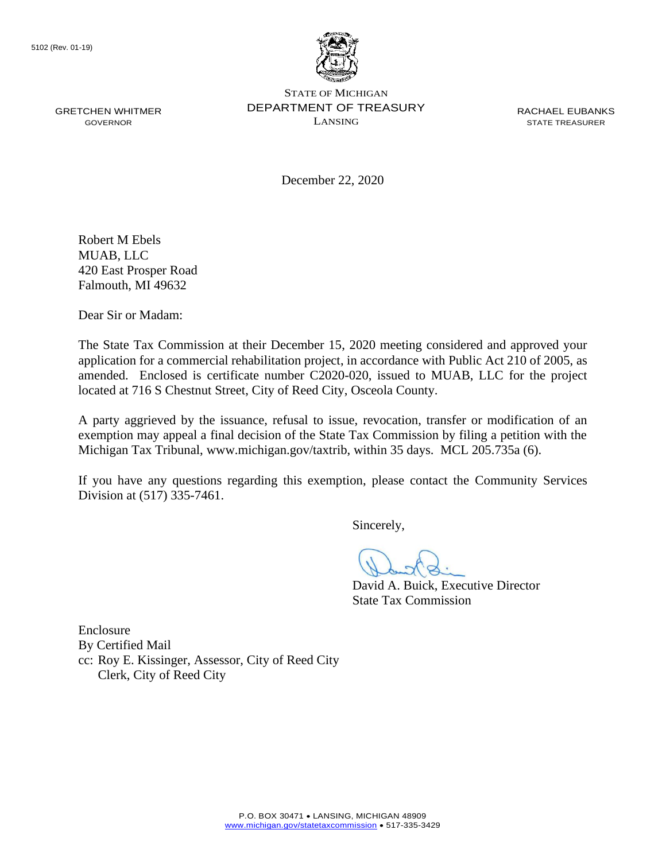

December 22, 2020

Robert M Ebels MUAB, LLC 420 East Prosper Road Falmouth, MI 49632

Dear Sir or Madam:

The State Tax Commission at their December 15, 2020 meeting considered and approved your application for a commercial rehabilitation project, in accordance with Public Act 210 of 2005, as amended. Enclosed is certificate number C2020-020, issued to MUAB, LLC for the project located at 716 S Chestnut Street, City of Reed City, Osceola County.

A party aggrieved by the issuance, refusal to issue, revocation, transfer or modification of an exemption may appeal a final decision of the State Tax Commission by filing a petition with the Michigan Tax Tribunal, <www.michigan.gov/taxtrib>, within 35 days. MCL 205.735a (6).

If you have any questions regarding this exemption, please contact the Community Services Division at (517) 335-7461.

Sincerely,

David A. Buick, Executive Director State Tax Commission

Enclosure By Certified Mail cc: Roy E. Kissinger, Assessor, City of Reed City Clerk, City of Reed City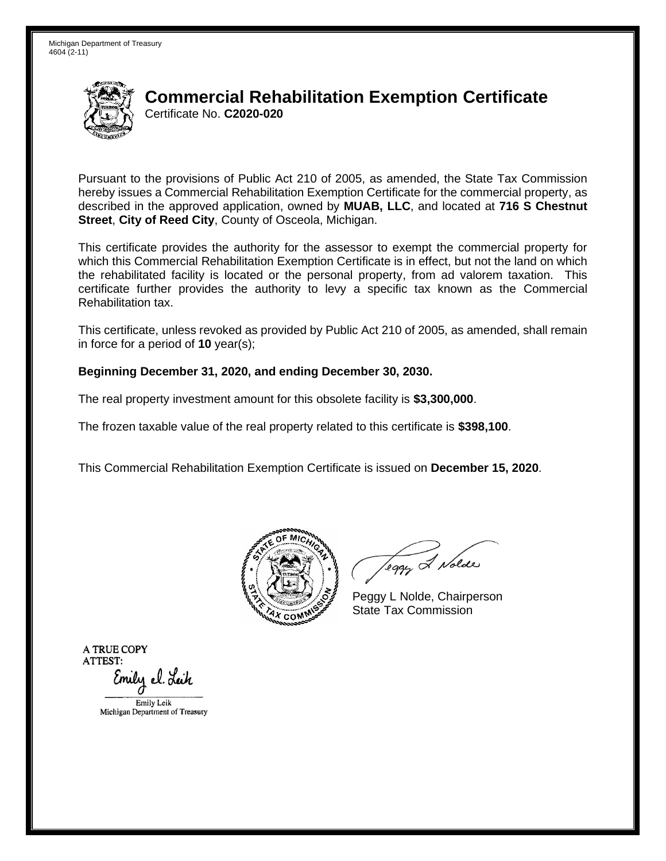

Pursuant to the provisions of Public Act 210 of 2005, as amended, the State Tax Commission hereby issues a Commercial Rehabilitation Exemption Certificate for the commercial property, as described in the approved application, owned by **MUAB, LLC**, and located at **716 S Chestnut Street**, **City of Reed City**, County of Osceola, Michigan.

This certificate provides the authority for the assessor to exempt the commercial property for which this Commercial Rehabilitation Exemption Certificate is in effect, but not the land on which the rehabilitated facility is located or the personal property, from ad valorem taxation. This certificate further provides the authority to levy a specific tax known as the Commercial Rehabilitation tax.

This certificate, unless revoked as provided by Public Act 210 of 2005, as amended, shall remain in force for a period of **10** year(s);

#### **Beginning December 31, 2020, and ending December 30, 2030.**

The real property investment amount for this obsolete facility is **\$3,300,000**.

The frozen taxable value of the real property related to this certificate is **\$398,100**.

This Commercial Rehabilitation Exemption Certificate is issued on **December 15, 2020**.



leggy & Nolde

Peggy L Nolde, Chairperson State Tax Commission

**ATRUECOPY ATTEST:**  Emily el. Leik Emily Leik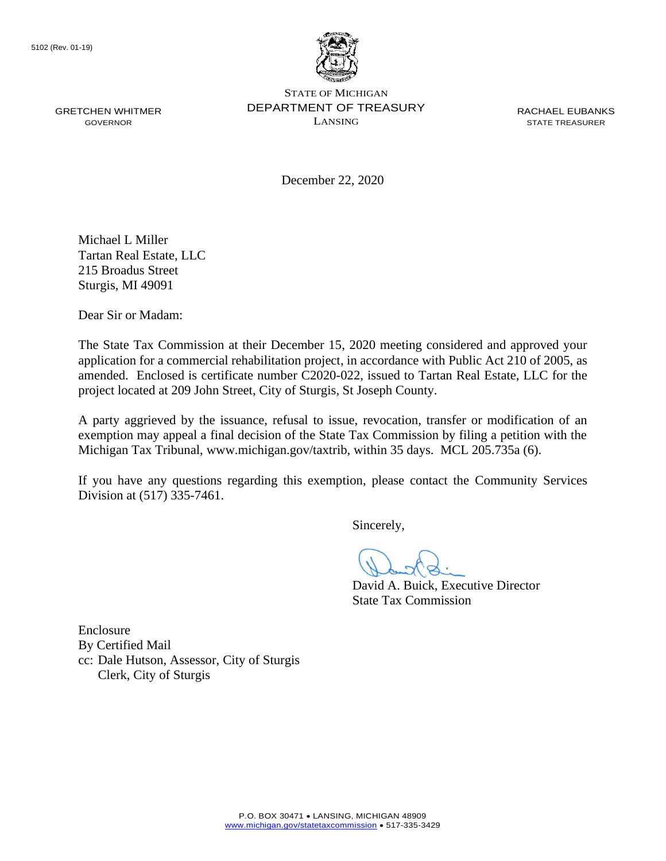

December 22, 2020

Michael L Miller Tartan Real Estate, LLC 215 Broadus Street Sturgis, MI 49091

Dear Sir or Madam:

The State Tax Commission at their December 15, 2020 meeting considered and approved your application for a commercial rehabilitation project, in accordance with Public Act 210 of 2005, as amended. Enclosed is certificate number C2020-022, issued to Tartan Real Estate, LLC for the project located at 209 John Street, City of Sturgis, St Joseph County.

A party aggrieved by the issuance, refusal to issue, revocation, transfer or modification of an exemption may appeal a final decision of the State Tax Commission by filing a petition with the Michigan Tax Tribunal, <www.michigan.gov/taxtrib>, within 35 days. MCL 205.735a (6).

If you have any questions regarding this exemption, please contact the Community Services Division at (517) 335-7461.

Sincerely,

David A. Buick, Executive Director State Tax Commission

Enclosure By Certified Mail cc: Dale Hutson, Assessor, City of Sturgis Clerk, City of Sturgis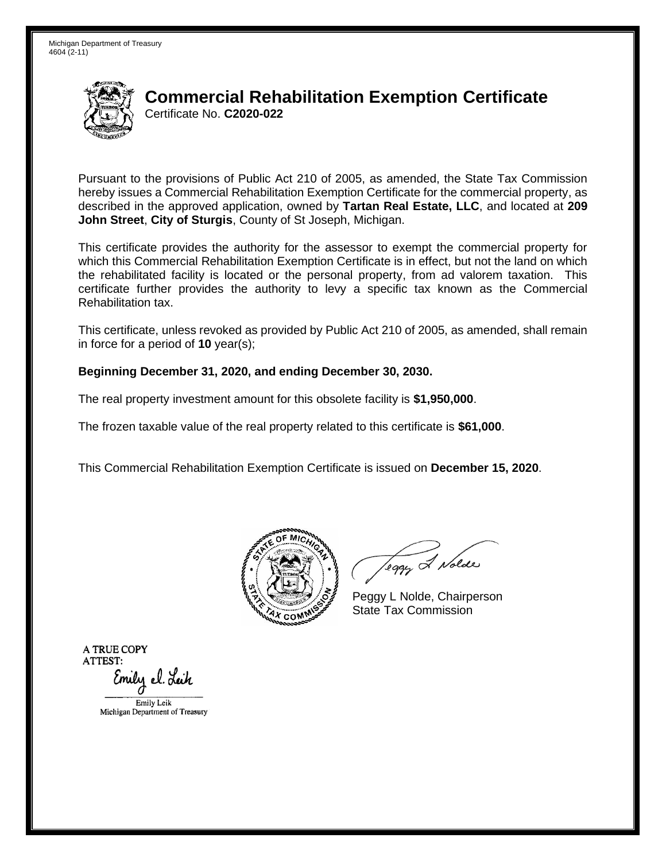

Pursuant to the provisions of Public Act 210 of 2005, as amended, the State Tax Commission hereby issues a Commercial Rehabilitation Exemption Certificate for the commercial property, as described in the approved application, owned by **Tartan Real Estate, LLC**, and located at **209 John Street**, **City of Sturgis**, County of St Joseph, Michigan.

This certificate provides the authority for the assessor to exempt the commercial property for which this Commercial Rehabilitation Exemption Certificate is in effect, but not the land on which the rehabilitated facility is located or the personal property, from ad valorem taxation. This certificate further provides the authority to levy a specific tax known as the Commercial Rehabilitation tax.

This certificate, unless revoked as provided by Public Act 210 of 2005, as amended, shall remain in force for a period of **10** year(s);

#### **Beginning December 31, 2020, and ending December 30, 2030.**

The real property investment amount for this obsolete facility is **\$1,950,000**.

The frozen taxable value of the real property related to this certificate is **\$61,000**.

This Commercial Rehabilitation Exemption Certificate is issued on **December 15, 2020**.



leggy & Nolde

Peggy L Nolde, Chairperson State Tax Commission

**ATRUECOPY ATTEST:**  Emily el. Leik EmilyLcik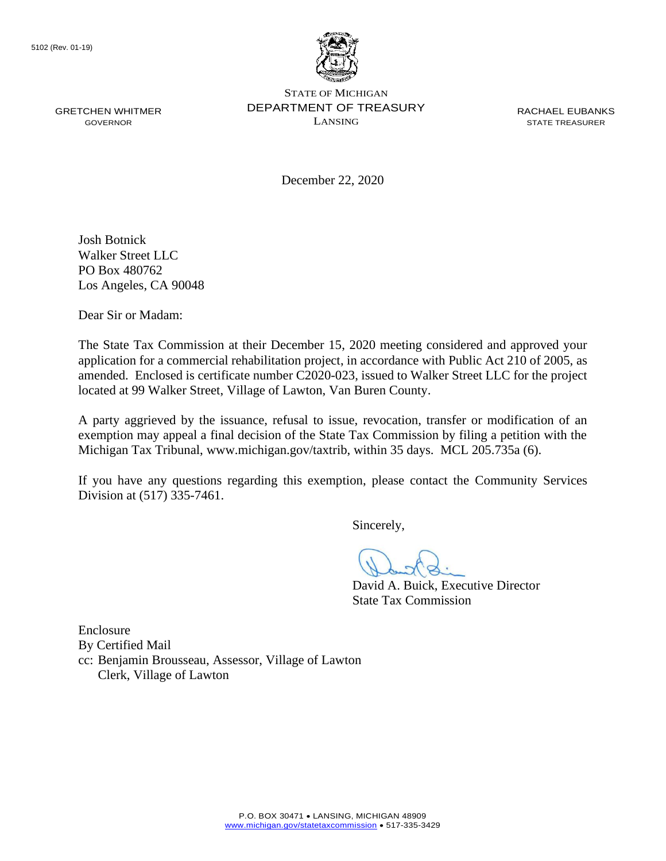

December 22, 2020

Josh Botnick Walker Street LLC PO Box 480762 Los Angeles, CA 90048

Dear Sir or Madam:

The State Tax Commission at their December 15, 2020 meeting considered and approved your application for a commercial rehabilitation project, in accordance with Public Act 210 of 2005, as amended. Enclosed is certificate number C2020-023, issued to Walker Street LLC for the project located at 99 Walker Street, Village of Lawton, Van Buren County.

A party aggrieved by the issuance, refusal to issue, revocation, transfer or modification of an exemption may appeal a final decision of the State Tax Commission by filing a petition with the Michigan Tax Tribunal, <www.michigan.gov/taxtrib>, within 35 days. MCL 205.735a (6).

If you have any questions regarding this exemption, please contact the Community Services Division at (517) 335-7461.

Sincerely,

David A. Buick, Executive Director State Tax Commission

Enclosure By Certified Mail cc: Benjamin Brousseau, Assessor, Village of Lawton Clerk, Village of Lawton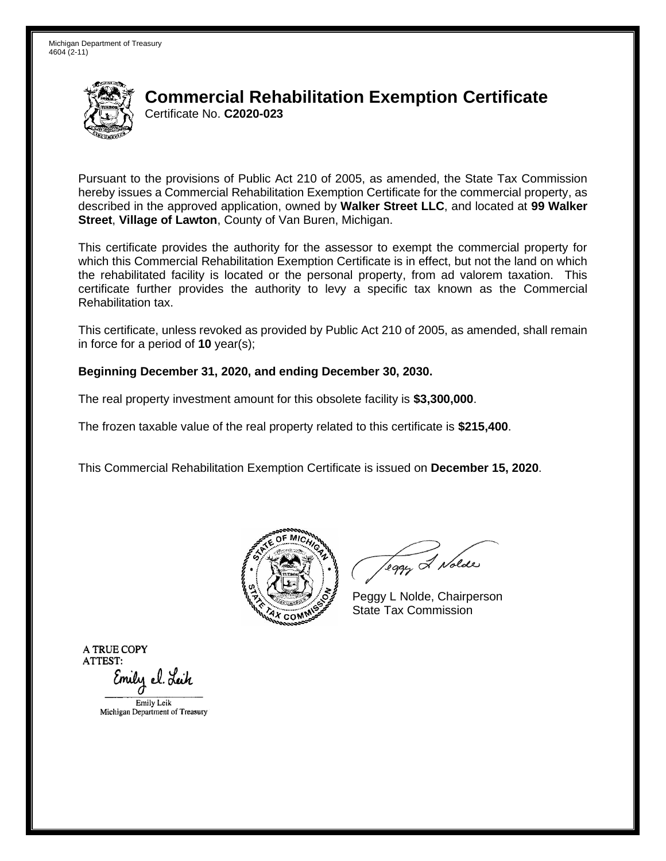

Pursuant to the provisions of Public Act 210 of 2005, as amended, the State Tax Commission hereby issues a Commercial Rehabilitation Exemption Certificate for the commercial property, as described in the approved application, owned by **Walker Street LLC**, and located at **99 Walker Street**, **Village of Lawton**, County of Van Buren, Michigan.

This certificate provides the authority for the assessor to exempt the commercial property for which this Commercial Rehabilitation Exemption Certificate is in effect, but not the land on which the rehabilitated facility is located or the personal property, from ad valorem taxation. This certificate further provides the authority to levy a specific tax known as the Commercial Rehabilitation tax.

This certificate, unless revoked as provided by Public Act 210 of 2005, as amended, shall remain in force for a period of **10** year(s);

#### **Beginning December 31, 2020, and ending December 30, 2030.**

The real property investment amount for this obsolete facility is **\$3,300,000**.

The frozen taxable value of the real property related to this certificate is **\$215,400**.

This Commercial Rehabilitation Exemption Certificate is issued on **December 15, 2020**.



leggy & Nolde

Peggy L Nolde, Chairperson State Tax Commission

**ATRUECOPY ATTEST:**  Emily el. Leik EmilyLcik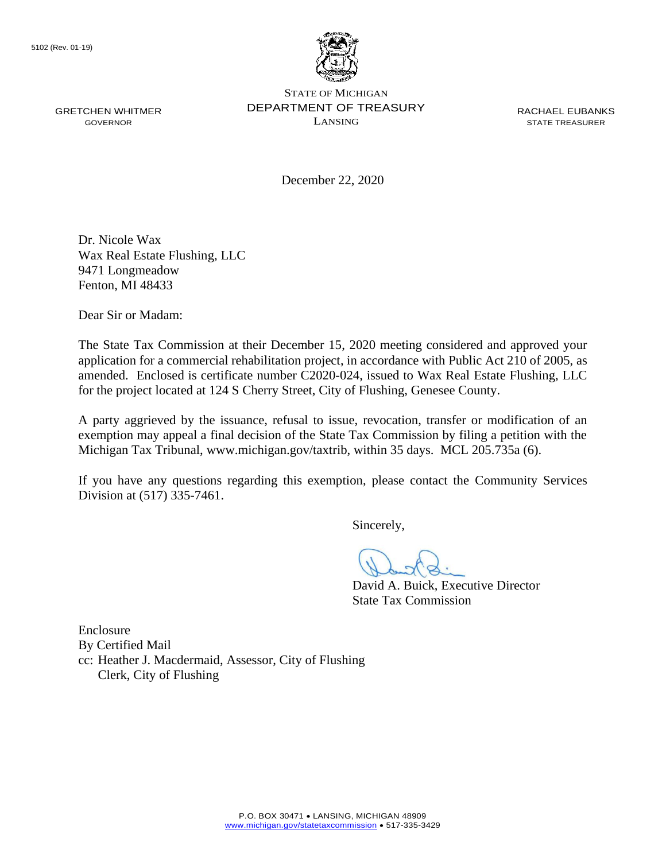

STATE OF MICHIGAN GRETCHEN WHITMER **SEPARTMENT OF TREASURY** RACHAEL EUBANKS<br>GOVERNOR GOVERNOR LANSING LANSING RACHAEL EUBANKS GOVERNOR LANSING STATE TREASURER

December 22, 2020

Dr. Nicole Wax Wax Real Estate Flushing, LLC 9471 Longmeadow Fenton, MI 48433

Dear Sir or Madam:

The State Tax Commission at their December 15, 2020 meeting considered and approved your application for a commercial rehabilitation project, in accordance with Public Act 210 of 2005, as amended. Enclosed is certificate number C2020-024, issued to Wax Real Estate Flushing, LLC for the project located at 124 S Cherry Street, City of Flushing, Genesee County.

A party aggrieved by the issuance, refusal to issue, revocation, transfer or modification of an exemption may appeal a final decision of the State Tax Commission by filing a petition with the Michigan Tax Tribunal, <www.michigan.gov/taxtrib>, within 35 days. MCL 205.735a (6).

If you have any questions regarding this exemption, please contact the Community Services Division at (517) 335-7461.

Sincerely,

David A. Buick, Executive Director State Tax Commission

Enclosure By Certified Mail cc: Heather J. Macdermaid, Assessor, City of Flushing Clerk, City of Flushing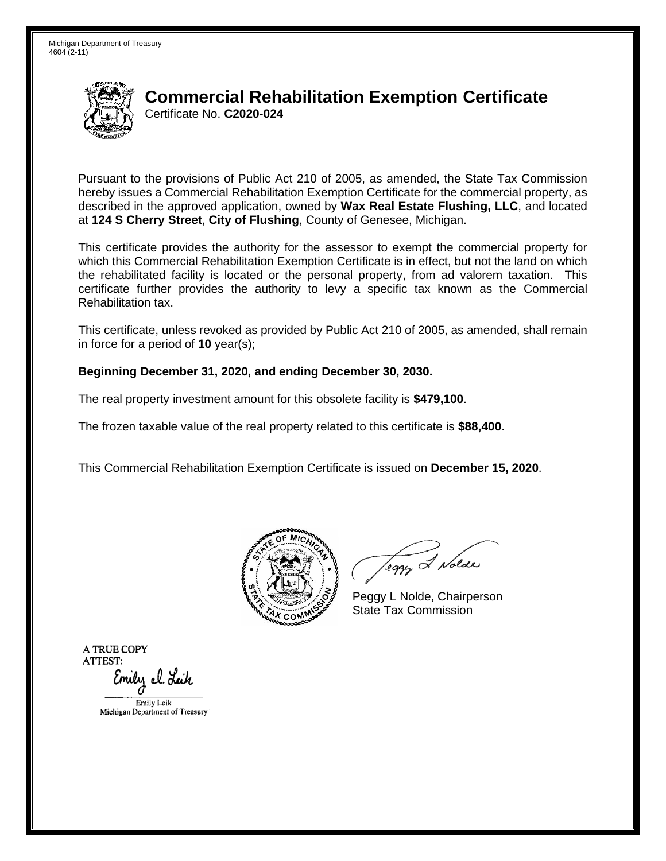

Pursuant to the provisions of Public Act 210 of 2005, as amended, the State Tax Commission hereby issues a Commercial Rehabilitation Exemption Certificate for the commercial property, as described in the approved application, owned by **Wax Real Estate Flushing, LLC**, and located at **124 S Cherry Street**, **City of Flushing**, County of Genesee, Michigan.

This certificate provides the authority for the assessor to exempt the commercial property for which this Commercial Rehabilitation Exemption Certificate is in effect, but not the land on which the rehabilitated facility is located or the personal property, from ad valorem taxation. This certificate further provides the authority to levy a specific tax known as the Commercial Rehabilitation tax.

This certificate, unless revoked as provided by Public Act 210 of 2005, as amended, shall remain in force for a period of **10** year(s);

#### **Beginning December 31, 2020, and ending December 30, 2030.**

The real property investment amount for this obsolete facility is **\$479,100**.

The frozen taxable value of the real property related to this certificate is **\$88,400**.

This Commercial Rehabilitation Exemption Certificate is issued on **December 15, 2020**.



leggy & Nolde

Peggy L Nolde, Chairperson State Tax Commission

**ATRUECOPY ATTEST:**  Emily el. Leik EmilyLcik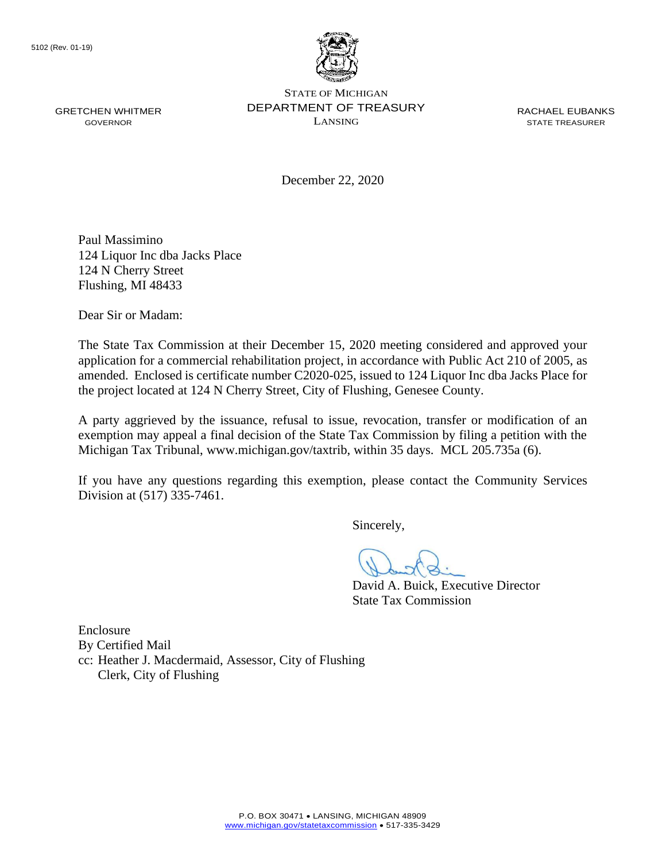

STATE OF MICHIGAN GRETCHEN WHITMER **SEPARTMENT OF TREASURY** RACHAEL EUBANKS<br>GOVERNOR GOVERNOR LANSING LANSING RACHAEL EUBANKS GOVERNOR LANSING STATE TREASURER

December 22, 2020

Paul Massimino 124 Liquor Inc dba Jacks Place 124 N Cherry Street Flushing, MI 48433

Dear Sir or Madam:

The State Tax Commission at their December 15, 2020 meeting considered and approved your application for a commercial rehabilitation project, in accordance with Public Act 210 of 2005, as amended. Enclosed is certificate number C2020-025, issued to 124 Liquor Inc dba Jacks Place for the project located at 124 N Cherry Street, City of Flushing, Genesee County.

A party aggrieved by the issuance, refusal to issue, revocation, transfer or modification of an exemption may appeal a final decision of the State Tax Commission by filing a petition with the Michigan Tax Tribunal, <www.michigan.gov/taxtrib>, within 35 days. MCL 205.735a (6).

If you have any questions regarding this exemption, please contact the Community Services Division at (517) 335-7461.

Sincerely,

David A. Buick, Executive Director State Tax Commission

Enclosure By Certified Mail cc: Heather J. Macdermaid, Assessor, City of Flushing Clerk, City of Flushing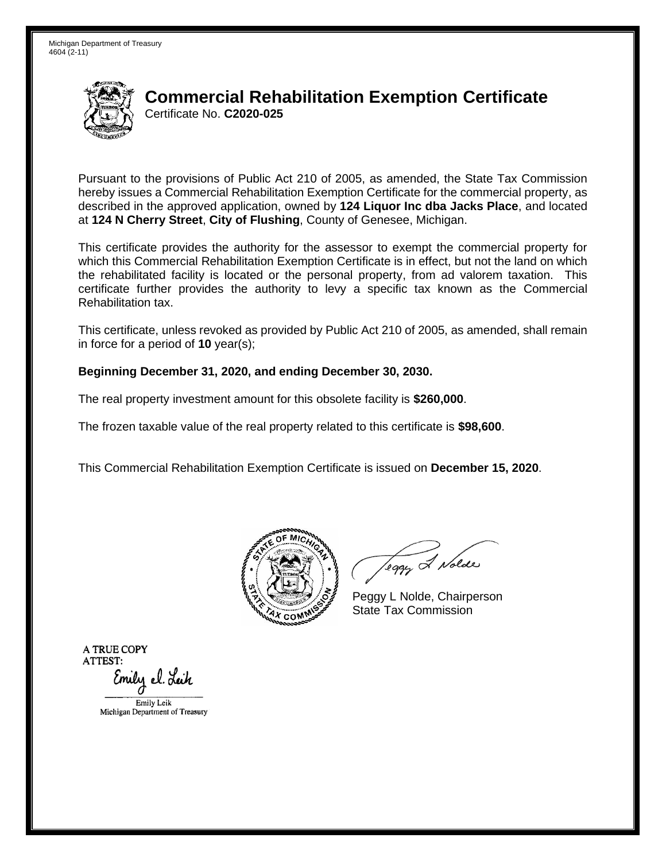

Pursuant to the provisions of Public Act 210 of 2005, as amended, the State Tax Commission hereby issues a Commercial Rehabilitation Exemption Certificate for the commercial property, as described in the approved application, owned by **124 Liquor Inc dba Jacks Place**, and located at **124 N Cherry Street**, **City of Flushing**, County of Genesee, Michigan.

This certificate provides the authority for the assessor to exempt the commercial property for which this Commercial Rehabilitation Exemption Certificate is in effect, but not the land on which the rehabilitated facility is located or the personal property, from ad valorem taxation. This certificate further provides the authority to levy a specific tax known as the Commercial Rehabilitation tax.

This certificate, unless revoked as provided by Public Act 210 of 2005, as amended, shall remain in force for a period of **10** year(s);

#### **Beginning December 31, 2020, and ending December 30, 2030.**

The real property investment amount for this obsolete facility is **\$260,000**.

The frozen taxable value of the real property related to this certificate is **\$98,600**.

This Commercial Rehabilitation Exemption Certificate is issued on **December 15, 2020**.



leggy & Nolde

Peggy L Nolde, Chairperson State Tax Commission

**ATRUECOPY ATTEST:**  Emily el. Leik EmilyLcik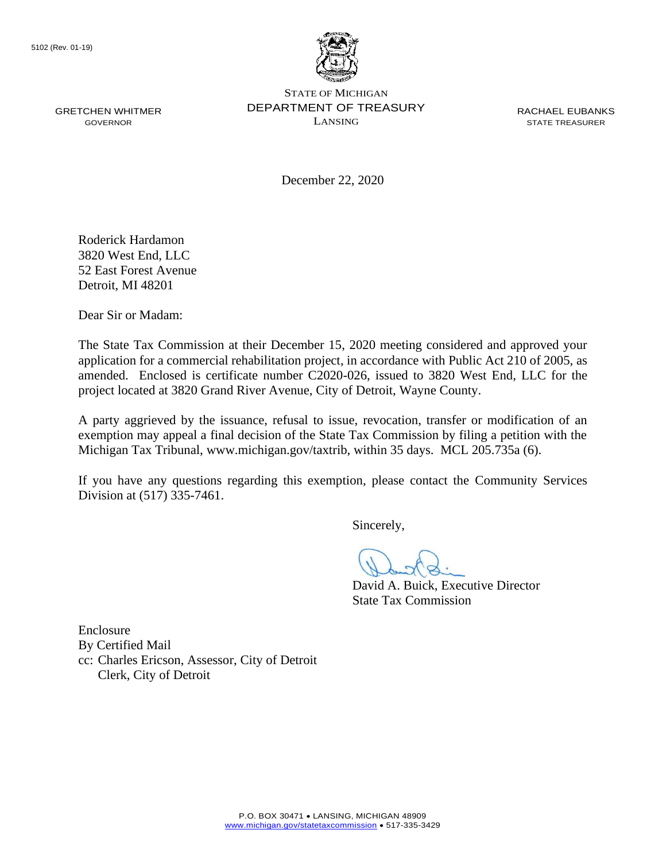

December 22, 2020

Roderick Hardamon 3820 West End, LLC 52 East Forest Avenue Detroit, MI 48201

Dear Sir or Madam:

The State Tax Commission at their December 15, 2020 meeting considered and approved your application for a commercial rehabilitation project, in accordance with Public Act 210 of 2005, as amended. Enclosed is certificate number C2020-026, issued to 3820 West End, LLC for the project located at 3820 Grand River Avenue, City of Detroit, Wayne County.

A party aggrieved by the issuance, refusal to issue, revocation, transfer or modification of an exemption may appeal a final decision of the State Tax Commission by filing a petition with the Michigan Tax Tribunal, <www.michigan.gov/taxtrib>, within 35 days. MCL 205.735a (6).

If you have any questions regarding this exemption, please contact the Community Services Division at (517) 335-7461.

Sincerely,

David A. Buick, Executive Director State Tax Commission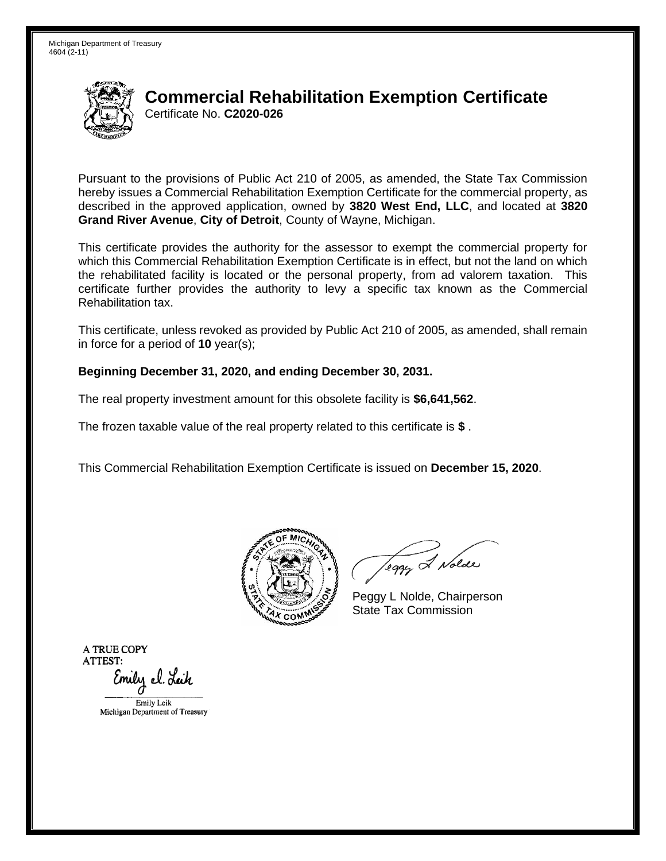

Pursuant to the provisions of Public Act 210 of 2005, as amended, the State Tax Commission hereby issues a Commercial Rehabilitation Exemption Certificate for the commercial property, as described in the approved application, owned by **3820 West End, LLC**, and located at **3820 Grand River Avenue**, **City of Detroit**, County of Wayne, Michigan.

This certificate provides the authority for the assessor to exempt the commercial property for which this Commercial Rehabilitation Exemption Certificate is in effect, but not the land on which the rehabilitated facility is located or the personal property, from ad valorem taxation. This certificate further provides the authority to levy a specific tax known as the Commercial Rehabilitation tax.

This certificate, unless revoked as provided by Public Act 210 of 2005, as amended, shall remain in force for a period of **10** year(s);

#### **Beginning December 31, 2020, and ending December 30, 2031.**

The real property investment amount for this obsolete facility is **\$6,641,562**.

The frozen taxable value of the real property related to this certificate is **\$** .

This Commercial Rehabilitation Exemption Certificate is issued on **December 15, 2020**.



leggy & Nolde

Peggy L Nolde, Chairperson State Tax Commission

**ATRUECOPY ATTEST:**  Emily el. Leik EmilyLcik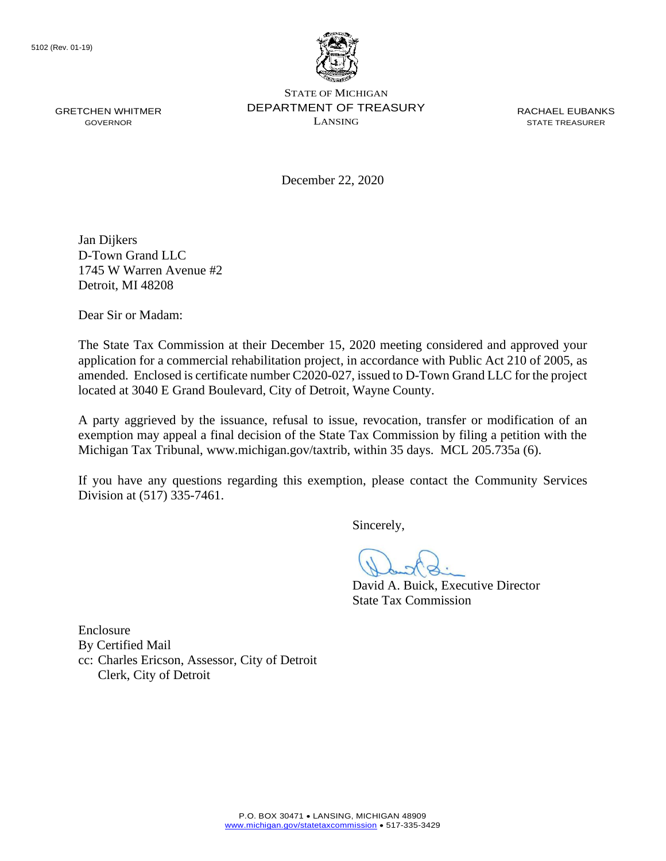

December 22, 2020

Jan Dijkers D-Town Grand LLC 1745 W Warren Avenue #2 Detroit, MI 48208

Dear Sir or Madam:

The State Tax Commission at their December 15, 2020 meeting considered and approved your application for a commercial rehabilitation project, in accordance with Public Act 210 of 2005, as amended. Enclosed is certificate number C2020-027, issued to D-Town Grand LLC for the project located at 3040 E Grand Boulevard, City of Detroit, Wayne County.

A party aggrieved by the issuance, refusal to issue, revocation, transfer or modification of an exemption may appeal a final decision of the State Tax Commission by filing a petition with the Michigan Tax Tribunal, <www.michigan.gov/taxtrib>, within 35 days. MCL 205.735a (6).

If you have any questions regarding this exemption, please contact the Community Services Division at (517) 335-7461.

Sincerely,

David A. Buick, Executive Director State Tax Commission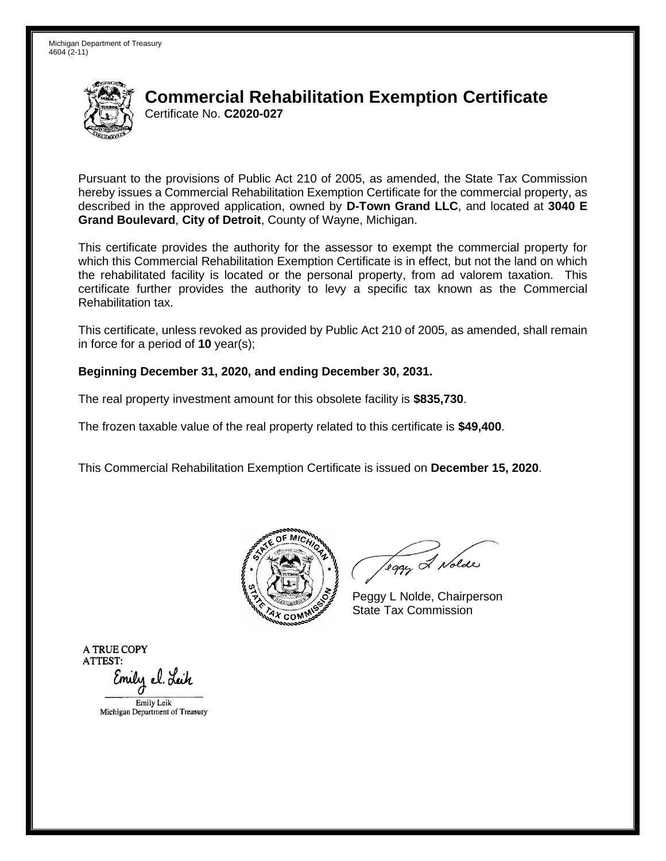

Pursuant to the provisions of Public Act 210 of 2005, as amended, the State Tax Commission hereby issues a Commercial Rehabilitation Exemption Certificate for the commercial property, as described in the approved application, owned by **D-Town Grand LLC**, and located at **3040 E Grand Boulevard**, **City of Detroit**, County of Wayne, Michigan.

This certificate provides the authority for the assessor to exempt the commercial property for which this Commercial Rehabilitation Exemption Certificate is in effect, but not the land on which the rehabilitated facility is located or the personal property, from ad valorem taxation. This certificate further provides the authority to levy a specific tax known as the Commercial Rehabilitation tax.

This certificate, unless revoked as provided by Public Act 210 of 2005, as amended, shall remain in force for a period of **10** year(s);

#### **Beginning December 31, 2020, and ending December 30, 2031.**

The real property investment amount for this obsolete facility is **\$835,730**.

The frozen taxable value of the real property related to this certificate is **\$49,400**.

This Commercial Rehabilitation Exemption Certificate is issued on **December 15, 2020**.



leggy & Nolde

Peggy L Nolde, Chairperson State Tax Commission

**ATRUECOPY ATTEST:**  Emily el. Leik EmilyLcik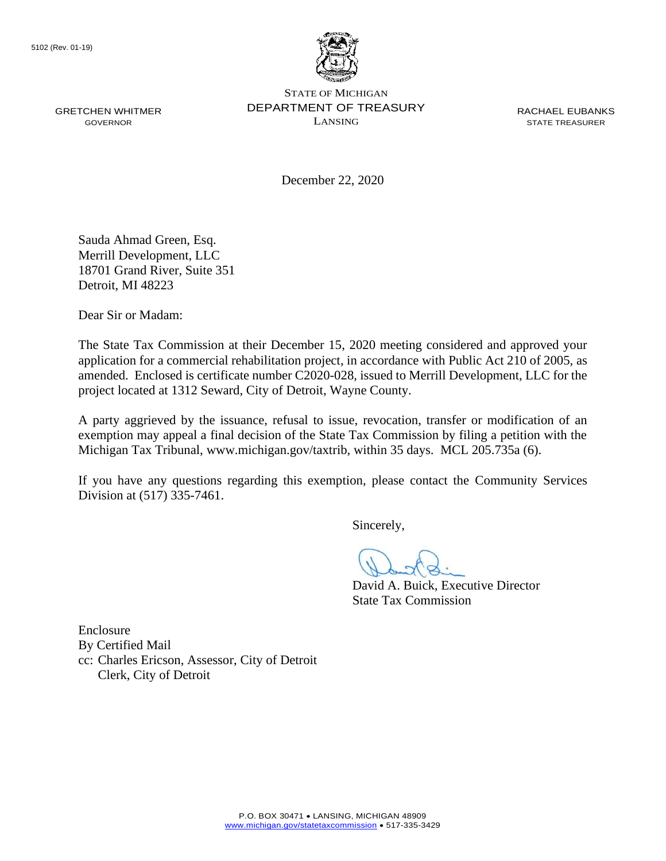

December 22, 2020

Sauda Ahmad Green, Esq. Merrill Development, LLC 18701 Grand River, Suite 351 Detroit, MI 48223

Dear Sir or Madam:

The State Tax Commission at their December 15, 2020 meeting considered and approved your application for a commercial rehabilitation project, in accordance with Public Act 210 of 2005, as amended. Enclosed is certificate number C2020-028, issued to Merrill Development, LLC for the project located at 1312 Seward, City of Detroit, Wayne County.

A party aggrieved by the issuance, refusal to issue, revocation, transfer or modification of an exemption may appeal a final decision of the State Tax Commission by filing a petition with the Michigan Tax Tribunal, <www.michigan.gov/taxtrib>, within 35 days. MCL 205.735a (6).

If you have any questions regarding this exemption, please contact the Community Services Division at (517) 335-7461.

Sincerely,

David A. Buick, Executive Director State Tax Commission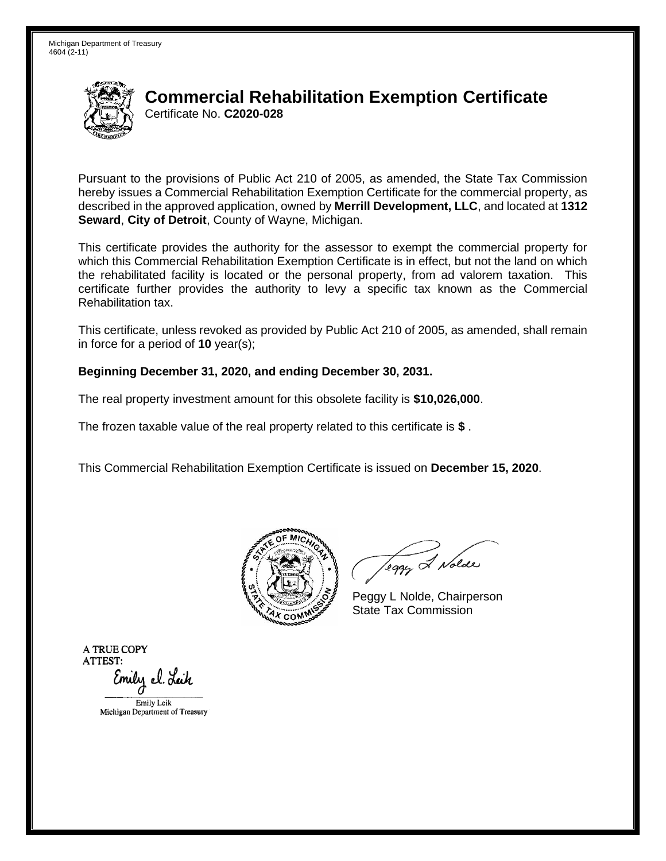

Pursuant to the provisions of Public Act 210 of 2005, as amended, the State Tax Commission hereby issues a Commercial Rehabilitation Exemption Certificate for the commercial property, as described in the approved application, owned by **Merrill Development, LLC**, and located at **1312 Seward**, **City of Detroit**, County of Wayne, Michigan.

This certificate provides the authority for the assessor to exempt the commercial property for which this Commercial Rehabilitation Exemption Certificate is in effect, but not the land on which the rehabilitated facility is located or the personal property, from ad valorem taxation. This certificate further provides the authority to levy a specific tax known as the Commercial Rehabilitation tax.

This certificate, unless revoked as provided by Public Act 210 of 2005, as amended, shall remain in force for a period of **10** year(s);

### **Beginning December 31, 2020, and ending December 30, 2031.**

The real property investment amount for this obsolete facility is **\$10,026,000**.

The frozen taxable value of the real property related to this certificate is **\$** .

This Commercial Rehabilitation Exemption Certificate is issued on **December 15, 2020**.



leggy & Nolde

Peggy L Nolde, Chairperson State Tax Commission

**ATRUECOPY ATTEST:**  Emily el. Leik EmilyLcik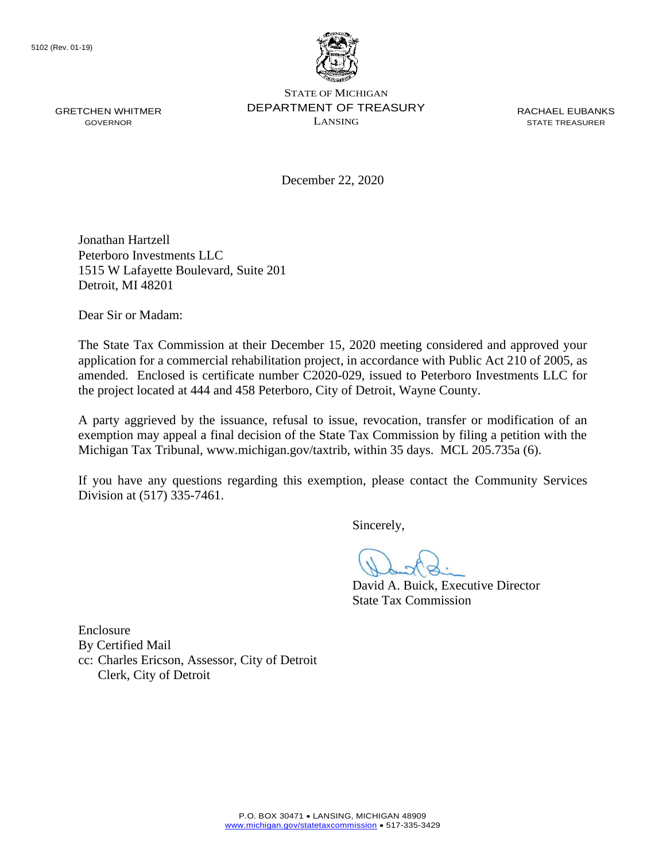

December 22, 2020

Jonathan Hartzell Peterboro Investments LLC 1515 W Lafayette Boulevard, Suite 201 Detroit, MI 48201

Dear Sir or Madam:

The State Tax Commission at their December 15, 2020 meeting considered and approved your application for a commercial rehabilitation project, in accordance with Public Act 210 of 2005, as amended. Enclosed is certificate number C2020-029, issued to Peterboro Investments LLC for the project located at 444 and 458 Peterboro, City of Detroit, Wayne County.

A party aggrieved by the issuance, refusal to issue, revocation, transfer or modification of an exemption may appeal a final decision of the State Tax Commission by filing a petition with the Michigan Tax Tribunal, <www.michigan.gov/taxtrib>, within 35 days. MCL 205.735a (6).

If you have any questions regarding this exemption, please contact the Community Services Division at (517) 335-7461.

Sincerely,

David A. Buick, Executive Director State Tax Commission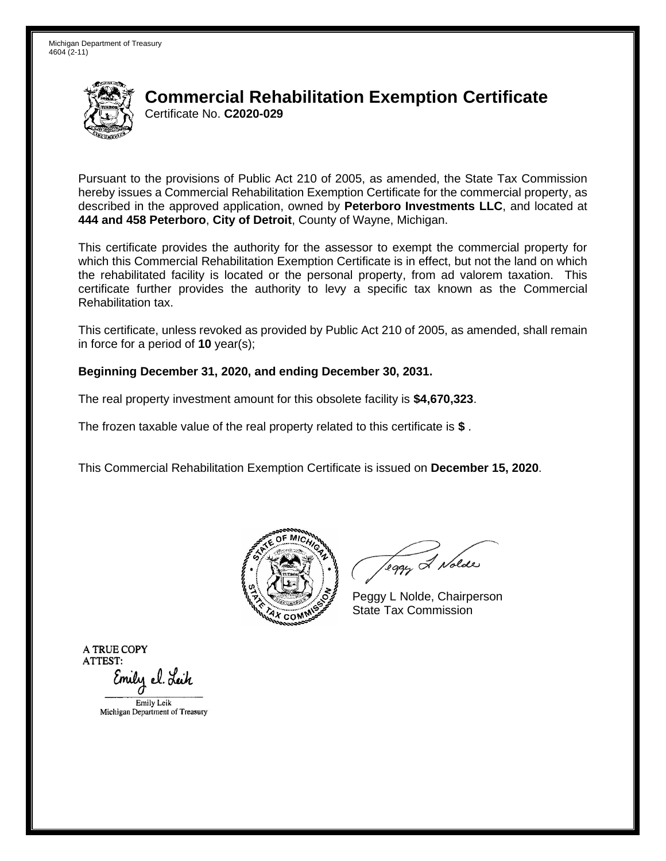

Pursuant to the provisions of Public Act 210 of 2005, as amended, the State Tax Commission hereby issues a Commercial Rehabilitation Exemption Certificate for the commercial property, as described in the approved application, owned by **Peterboro Investments LLC**, and located at **444 and 458 Peterboro**, **City of Detroit**, County of Wayne, Michigan.

This certificate provides the authority for the assessor to exempt the commercial property for which this Commercial Rehabilitation Exemption Certificate is in effect, but not the land on which the rehabilitated facility is located or the personal property, from ad valorem taxation. This certificate further provides the authority to levy a specific tax known as the Commercial Rehabilitation tax.

This certificate, unless revoked as provided by Public Act 210 of 2005, as amended, shall remain in force for a period of **10** year(s);

#### **Beginning December 31, 2020, and ending December 30, 2031.**

The real property investment amount for this obsolete facility is **\$4,670,323**.

The frozen taxable value of the real property related to this certificate is **\$** .

This Commercial Rehabilitation Exemption Certificate is issued on **December 15, 2020**.



leggy & Nolde

Peggy L Nolde, Chairperson State Tax Commission

**ATRUECOPY ATTEST:**  Emily el. Leik EmilyLcik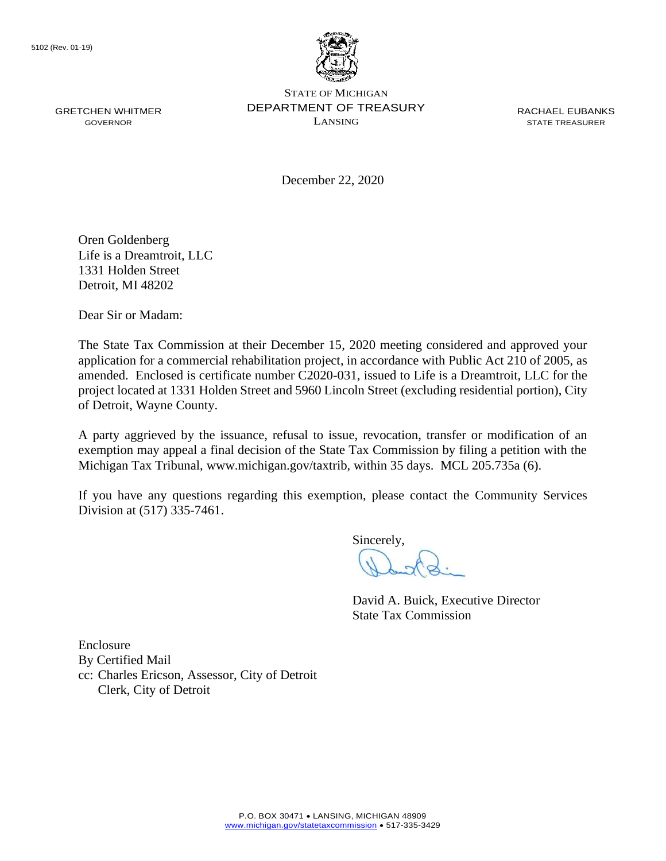

STATE OF MICHIGAN GRETCHEN WHITMER DEPARTMENT OF TREASURY RACHAEL EUBANKS  $\sum_{i=1}^{n}$  GOVERNOR

December 22, 2020

Oren Goldenberg Life is a Dreamtroit, LLC 1331 Holden Street Detroit, MI 48202

Dear Sir or Madam:

The State Tax Commission at their December 15, 2020 meeting considered and approved your application for a commercial rehabilitation project, in accordance with Public Act 210 of 2005, as amended. Enclosed is certificate number C2020-031, issued to Life is a Dreamtroit, LLC for the project located at 1331 Holden Street and 5960 Lincoln Street (excluding residential portion), City of Detroit, Wayne County.

A party aggrieved by the issuance, refusal to issue, revocation, transfer or modification of an exemption may appeal a final decision of the State Tax Commission by filing a petition with the Michigan Tax Tribunal, <www.michigan.gov/taxtrib>, within 35 days. MCL 205.735a (6).

If you have any questions regarding this exemption, please contact the Community Services Division at (517) 335-7461.

Sincerely,

David A. Buick, Executive Director State Tax Commission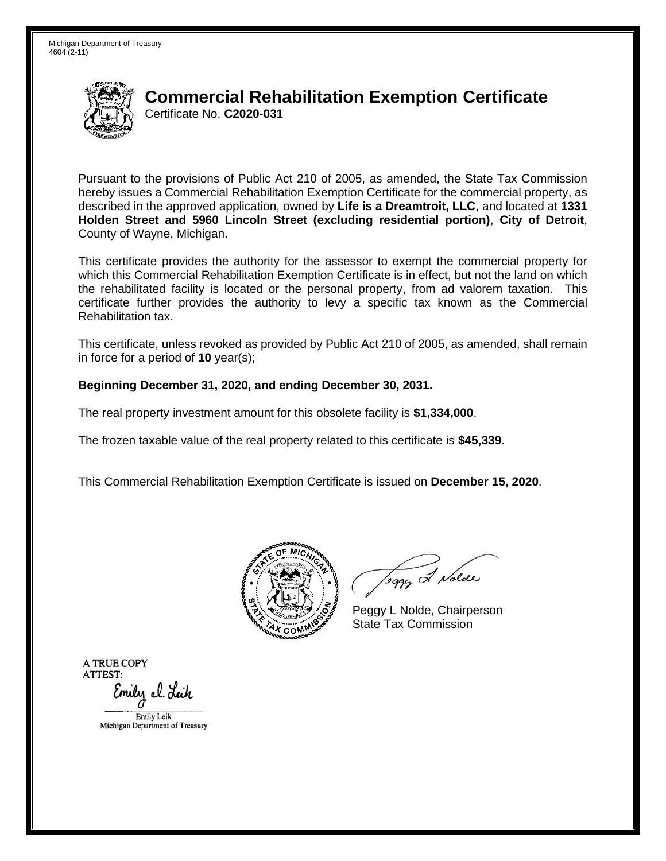

Pursuant to the provisions of Public Act 210 of 2005, as amended, the State Tax Commission hereby issues a Commercial Rehabilitation Exemption Certificate for the commercial property, as described in the approved application, owned by **Life is a Dreamtroit, LLC**, and located at **1331 Holden Street and 5960 Lincoln Street (excluding residential portion)**, **City of Detroit**, County of Wayne, Michigan.

This certificate provides the authority for the assessor to exempt the commercial property for which this Commercial Rehabilitation Exemption Certificate is in effect, but not the land on which the rehabilitated facility is located or the personal property, from ad valorem taxation. This certificate further provides the authority to levy a specific tax known as the Commercial Rehabilitation tax.

This certificate, unless revoked as provided by Public Act 210 of 2005, as amended, shall remain in force for a period of **10** year(s);

### **Beginning December 31, 2020, and ending December 30, 2031.**

The real property investment amount for this obsolete facility is **\$1,334,000**.

The frozen taxable value of the real property related to this certificate is **\$45,339**.

This Commercial Rehabilitation Exemption Certificate is issued on **December 15, 2020**.



Teggy & Nolde

Peggy L Nolde, Chairperson State Tax Commission

**ATRUECOPY ATTEST:**  Emily el. Lei*h* 

EmilyLcik Michigan Department of Treasucy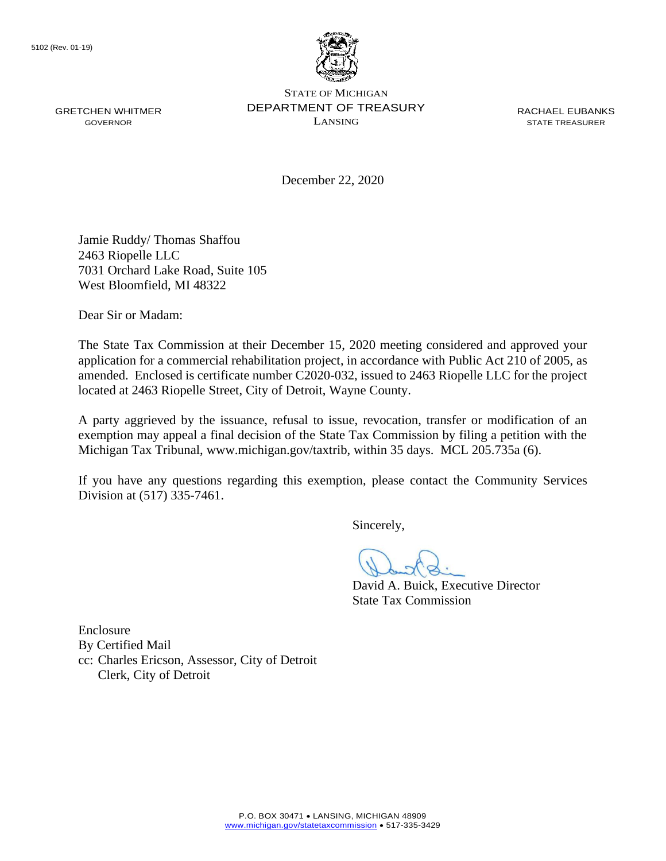

December 22, 2020

Jamie Ruddy/ Thomas Shaffou 2463 Riopelle LLC 7031 Orchard Lake Road, Suite 105 West Bloomfield, MI 48322

Dear Sir or Madam:

The State Tax Commission at their December 15, 2020 meeting considered and approved your application for a commercial rehabilitation project, in accordance with Public Act 210 of 2005, as amended. Enclosed is certificate number C2020-032, issued to 2463 Riopelle LLC for the project located at 2463 Riopelle Street, City of Detroit, Wayne County.

A party aggrieved by the issuance, refusal to issue, revocation, transfer or modification of an exemption may appeal a final decision of the State Tax Commission by filing a petition with the Michigan Tax Tribunal, <www.michigan.gov/taxtrib>, within 35 days. MCL 205.735a (6).

If you have any questions regarding this exemption, please contact the Community Services Division at (517) 335-7461.

Sincerely,

David A. Buick, Executive Director State Tax Commission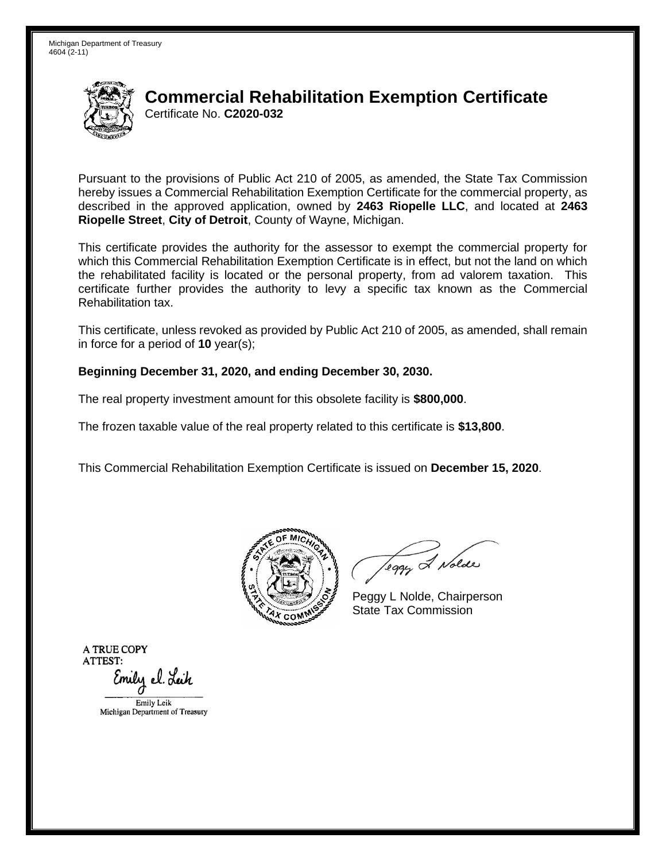

Pursuant to the provisions of Public Act 210 of 2005, as amended, the State Tax Commission hereby issues a Commercial Rehabilitation Exemption Certificate for the commercial property, as described in the approved application, owned by **2463 Riopelle LLC**, and located at **2463 Riopelle Street**, **City of Detroit**, County of Wayne, Michigan.

This certificate provides the authority for the assessor to exempt the commercial property for which this Commercial Rehabilitation Exemption Certificate is in effect, but not the land on which the rehabilitated facility is located or the personal property, from ad valorem taxation. This certificate further provides the authority to levy a specific tax known as the Commercial Rehabilitation tax.

This certificate, unless revoked as provided by Public Act 210 of 2005, as amended, shall remain in force for a period of **10** year(s);

#### **Beginning December 31, 2020, and ending December 30, 2030.**

The real property investment amount for this obsolete facility is **\$800,000**.

The frozen taxable value of the real property related to this certificate is **\$13,800**.

This Commercial Rehabilitation Exemption Certificate is issued on **December 15, 2020**.



leggy & Nolde

Peggy L Nolde, Chairperson State Tax Commission

**ATRUECOPY ATTEST:**  Emily el. Leik EmilyLcik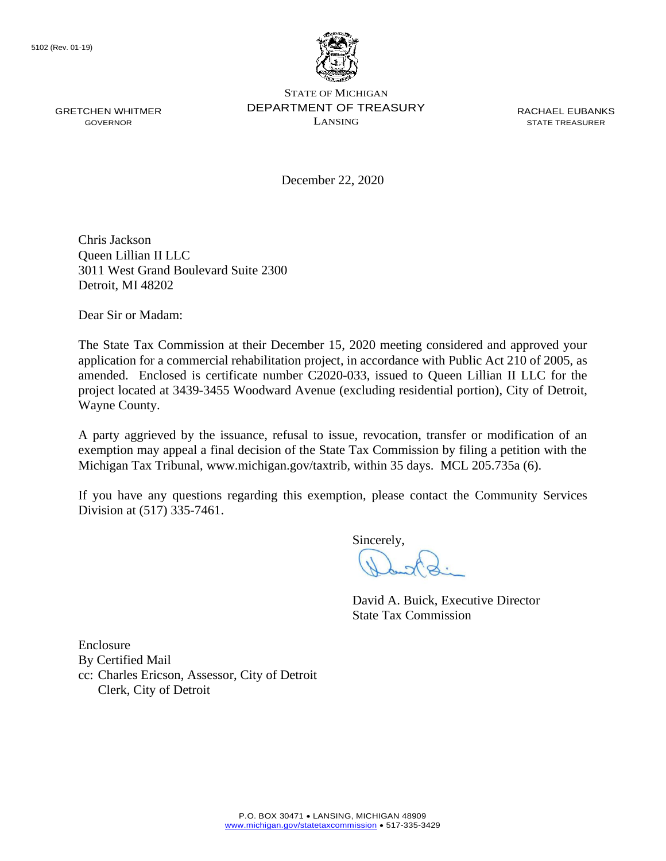

December 22, 2020

Chris Jackson Queen Lillian II LLC 3011 West Grand Boulevard Suite 2300 Detroit, MI 48202

Dear Sir or Madam:

The State Tax Commission at their December 15, 2020 meeting considered and approved your application for a commercial rehabilitation project, in accordance with Public Act 210 of 2005, as amended. Enclosed is certificate number C2020-033, issued to Queen Lillian II LLC for the project located at 3439-3455 Woodward Avenue (excluding residential portion), City of Detroit, Wayne County.

A party aggrieved by the issuance, refusal to issue, revocation, transfer or modification of an exemption may appeal a final decision of the State Tax Commission by filing a petition with the Michigan Tax Tribunal, <www.michigan.gov/taxtrib>, within 35 days. MCL 205.735a (6).

If you have any questions regarding this exemption, please contact the Community Services Division at (517) 335-7461.

Sincerely,

David A. Buick, Executive Director State Tax Commission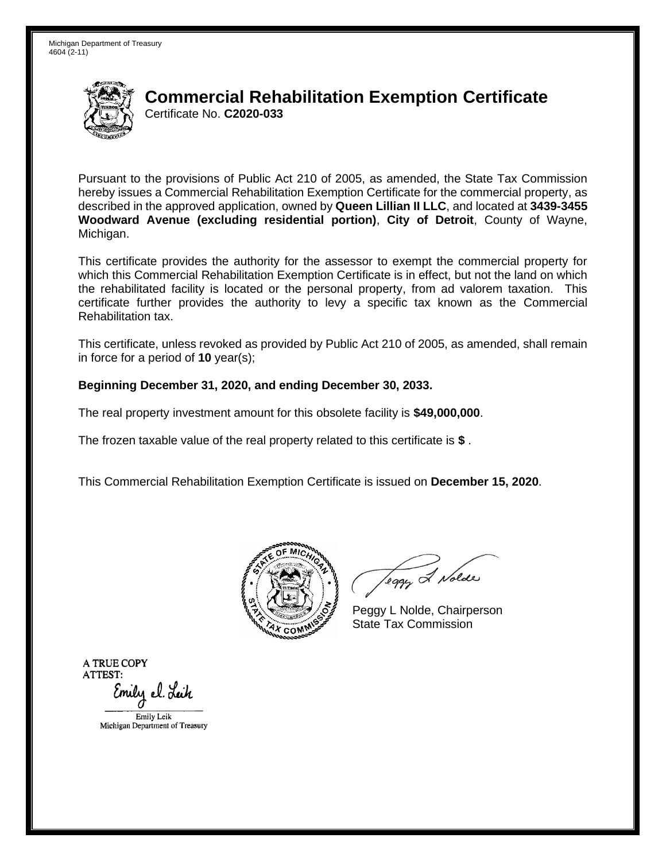

Pursuant to the provisions of Public Act 210 of 2005, as amended, the State Tax Commission hereby issues a Commercial Rehabilitation Exemption Certificate for the commercial property, as described in the approved application, owned by **Queen Lillian II LLC**, and located at **3439-3455 Woodward Avenue (excluding residential portion)**, **City of Detroit**, County of Wayne, Michigan.

This certificate provides the authority for the assessor to exempt the commercial property for which this Commercial Rehabilitation Exemption Certificate is in effect, but not the land on which the rehabilitated facility is located or the personal property, from ad valorem taxation. This certificate further provides the authority to levy a specific tax known as the Commercial Rehabilitation tax.

This certificate, unless revoked as provided by Public Act 210 of 2005, as amended, shall remain in force for a period of **10** year(s);

#### **Beginning December 31, 2020, and ending December 30, 2033.**

The real property investment amount for this obsolete facility is **\$49,000,000**.

The frozen taxable value of the real property related to this certificate is **\$** .

This Commercial Rehabilitation Exemption Certificate is issued on **December 15, 2020**.



Teggy & Nolde

Peggy L Nolde, Chairperson State Tax Commission

**ATRUECOPY ATTEST:**  Emily el. Lei*h* 

EmilyLcik Michigan Department of Treasucy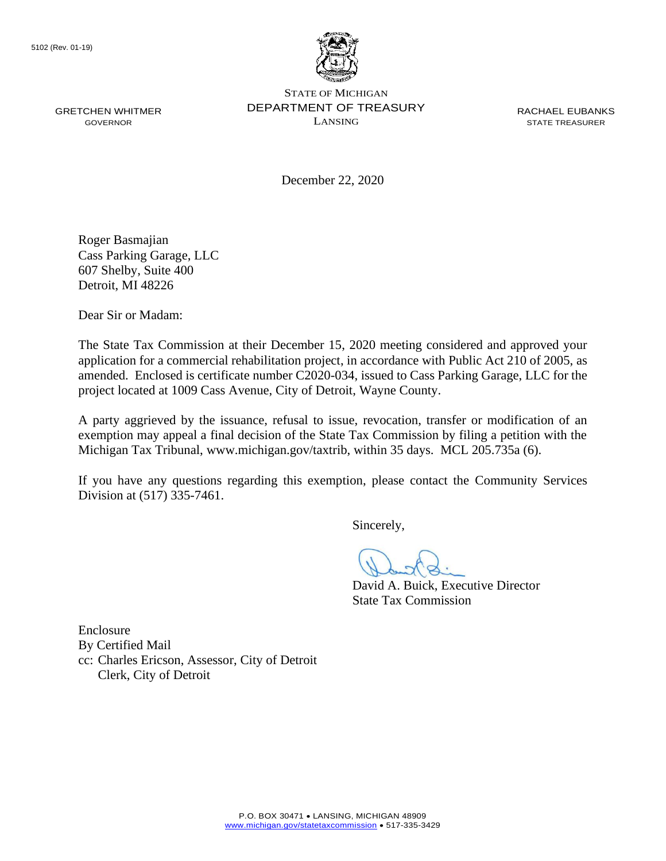

December 22, 2020

Roger Basmajian Cass Parking Garage, LLC 607 Shelby, Suite 400 Detroit, MI 48226

Dear Sir or Madam:

The State Tax Commission at their December 15, 2020 meeting considered and approved your application for a commercial rehabilitation project, in accordance with Public Act 210 of 2005, as amended. Enclosed is certificate number C2020-034, issued to Cass Parking Garage, LLC for the project located at 1009 Cass Avenue, City of Detroit, Wayne County.

A party aggrieved by the issuance, refusal to issue, revocation, transfer or modification of an exemption may appeal a final decision of the State Tax Commission by filing a petition with the Michigan Tax Tribunal, <www.michigan.gov/taxtrib>, within 35 days. MCL 205.735a (6).

If you have any questions regarding this exemption, please contact the Community Services Division at (517) 335-7461.

Sincerely,

David A. Buick, Executive Director State Tax Commission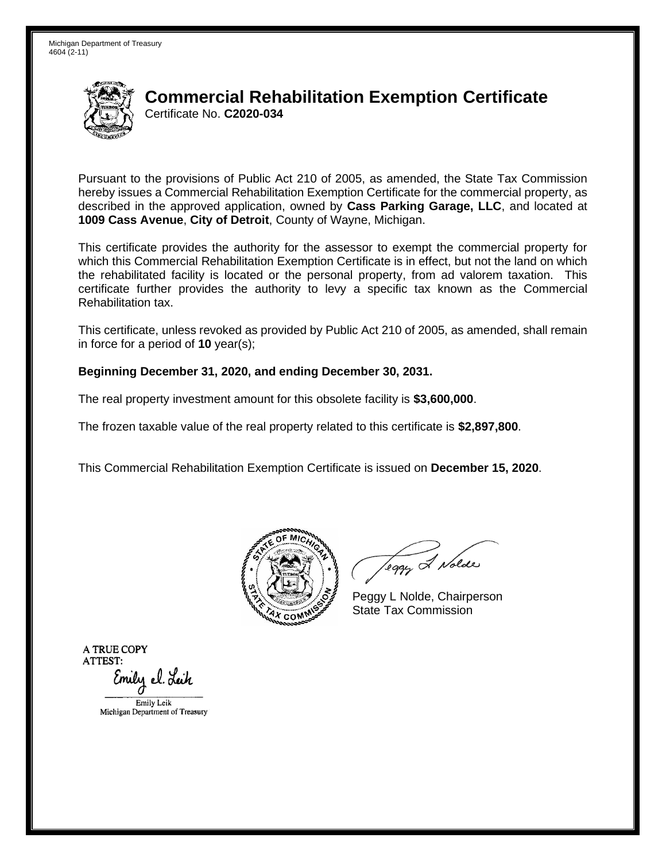

Pursuant to the provisions of Public Act 210 of 2005, as amended, the State Tax Commission hereby issues a Commercial Rehabilitation Exemption Certificate for the commercial property, as described in the approved application, owned by **Cass Parking Garage, LLC**, and located at **1009 Cass Avenue**, **City of Detroit**, County of Wayne, Michigan.

This certificate provides the authority for the assessor to exempt the commercial property for which this Commercial Rehabilitation Exemption Certificate is in effect, but not the land on which the rehabilitated facility is located or the personal property, from ad valorem taxation. This certificate further provides the authority to levy a specific tax known as the Commercial Rehabilitation tax.

This certificate, unless revoked as provided by Public Act 210 of 2005, as amended, shall remain in force for a period of **10** year(s);

#### **Beginning December 31, 2020, and ending December 30, 2031.**

The real property investment amount for this obsolete facility is **\$3,600,000**.

The frozen taxable value of the real property related to this certificate is **\$2,897,800**.

This Commercial Rehabilitation Exemption Certificate is issued on **December 15, 2020**.



leggy & Nolde

Peggy L Nolde, Chairperson State Tax Commission

**ATRUECOPY ATTEST:**  Emily el. Leik EmilyLcik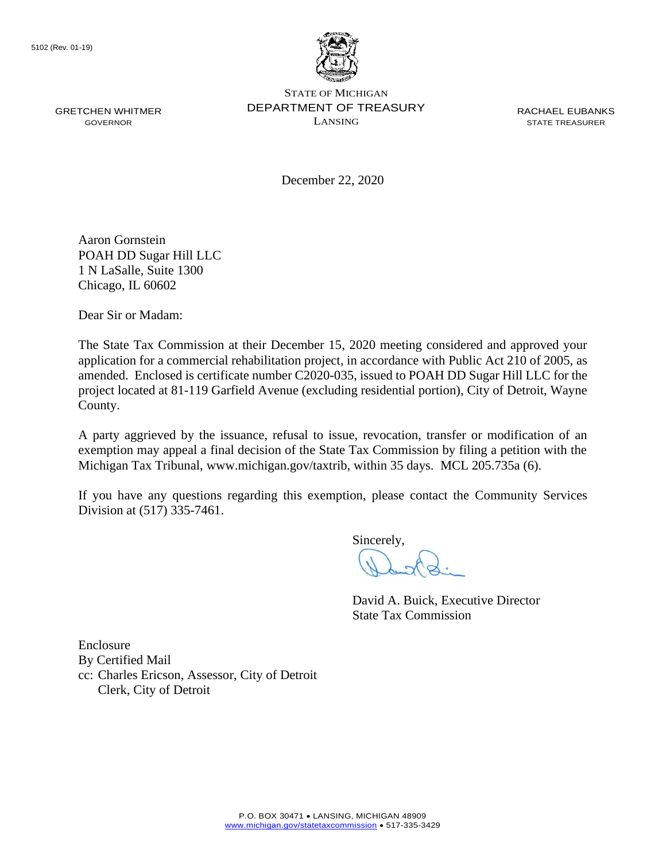

STATE OF MICHIGAN GRETCHEN WHITMER DEPARTMENT OF TREASURY RACHAEL EUBANKS  $\sum_{i=1}^{n}$  GOVERNOR

December 22, 2020

Aaron Gornstein POAH DD Sugar Hill LLC 1 N LaSalle, Suite 1300 Chicago, IL 60602

Dear Sir or Madam:

The State Tax Commission at their December 15, 2020 meeting considered and approved your application for a commercial rehabilitation project, in accordance with Public Act 210 of 2005, as amended. Enclosed is certificate number C2020-035, issued to POAH DD Sugar Hill LLC for the project located at 81-119 Garfield Avenue (excluding residential portion), City of Detroit, Wayne County.

A party aggrieved by the issuance, refusal to issue, revocation, transfer or modification of an exemption may appeal a final decision of the State Tax Commission by filing a petition with the Michigan Tax Tribunal, <www.michigan.gov/taxtrib>, within 35 days. MCL 205.735a (6).

If you have any questions regarding this exemption, please contact the Community Services Division at (517) 335-7461.

Sincerely,

David A. Buick, Executive Director State Tax Commission